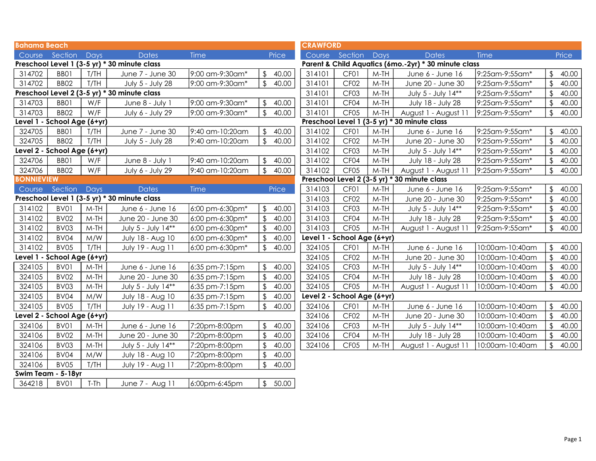| <b>Bahama Beach</b>         |                             |        |                                              |                 |                         |         | <b>CRAWFORD</b>             |                             |        |                                                      |                 |                         |       |
|-----------------------------|-----------------------------|--------|----------------------------------------------|-----------------|-------------------------|---------|-----------------------------|-----------------------------|--------|------------------------------------------------------|-----------------|-------------------------|-------|
|                             | Course Section              | Days   | <b>Dates</b>                                 | Time            |                         | Price   |                             | Course Section              | Days   | <b>Dates</b>                                         | <b>Time</b>     |                         | Price |
|                             |                             |        | Preschool Level 1 (3-5 yr) * 30 minute class |                 |                         |         |                             |                             |        | Parent & Child Aquatics (6mo.-2yr) * 30 minute class |                 |                         |       |
| 314702                      | BBO1                        | T/TH   | June 7 - June 30                             | 9:00 am-9:30am* | $\frac{1}{2}$           | 40.00   | 314101                      | CF <sub>01</sub>            | $M-TH$ | June 6 - June 16                                     | 9:25am-9:55am*  | $\sqrt[6]{\frac{1}{2}}$ | 40.00 |
| 314702                      | BB <sub>02</sub>            | T/TH   | July 5 - July 28                             | 9:00 am-9:30am* | $\frac{1}{2}$           | 40.00   | 314101                      | CF <sub>02</sub>            | $M-TH$ | June 20 - June 30                                    | 9:25am-9:55am*  | \$                      | 40.00 |
|                             |                             |        | Preschool Level 2 (3-5 yr) * 30 minute class |                 |                         |         | 314101                      | CF <sub>03</sub>            | $M-TH$ | July 5 - July 14**                                   | 9:25am-9:55am*  | $\mathcal{L}$           | 40.00 |
| 314703                      | BB01                        | W/F    | June 8 - July 1                              | 9:00 am-9:30am* | $\frac{1}{2}$           | 40.00   | 314101                      | CF04                        | $M-TH$ | July 18 - July 28                                    | 9:25am-9:55am*  | $\mathfrak{L}$          | 40.00 |
| 314703                      | BB <sub>02</sub>            | W/F    | July 6 - July 29                             | 9:00 am-9:30am* | $\frac{1}{2}$           | 40.00   | 314101                      | CF <sub>05</sub>            | $M-TH$ | August 1 - August 11                                 | 9:25am-9:55am*  | $\mathcal{L}$           | 40.00 |
| Level 1 - School Age (6+yr) |                             |        |                                              |                 |                         |         |                             |                             |        | Preschool Level 1 (3-5 yr) * 30 minute class         |                 |                         |       |
| 324705                      | BBO1                        | T/TH   | June 7 - June 30                             | 9:40 am-10:20am | \$                      | 40.00   | 314102                      | CF <sub>01</sub>            | $M-TH$ | June 6 - June 16                                     | 9:25am-9:55am*  | \$                      | 40.00 |
| 324705                      | <b>BB02</b>                 | T/TH   | July 5 - July 28                             | 9:40 am-10:20am | \$                      | 40.00   | 314102                      | CF <sub>02</sub>            | $M-TH$ | June 20 - June 30                                    | 9:25am-9:55am*  | $\sqrt{2}$              | 40.00 |
| Level 2 - School Age (6+yr) |                             |        |                                              |                 |                         |         | 314102                      | CF <sub>03</sub>            | $M-TH$ | July 5 - July 14**                                   | 9:25am-9:55am*  | \$                      | 40.00 |
| 324706                      | BBO1                        | W/F    | June 8 - July 1                              | 9:40 am-10:20am | $\frac{1}{2}$           | 40.00   | 314102                      | CF04                        | $M-TH$ | July 18 - July 28                                    | 9:25am-9:55am*  | \$                      | 40.00 |
| 324706                      | BB <sub>02</sub>            | W/F    | July 6 - July 29                             | 9:40 am-10:20am | $\frac{1}{2}$           | 40.00   | 314102                      | CF <sub>05</sub>            | $M-TH$ | August 1 - August 11                                 | 9:25am-9:55am*  | $\mathfrak{L}$          | 40.00 |
| <b>BONNIEVIEW</b>           |                             |        |                                              |                 |                         |         |                             |                             |        | Preschool Level 2 (3-5 yr) * 30 minute class         |                 |                         |       |
| Course                      | Section                     | Days   | <b>Dates</b>                                 | <b>Time</b>     |                         | Price   | 314103                      | CF <sub>01</sub>            | $M-TH$ | June 6 - June 16                                     | 9:25am-9:55am*  | \$                      | 40.00 |
|                             |                             |        | Preschool Level 1 (3-5 yr) * 30 minute class |                 |                         |         | 314103                      | CF <sub>02</sub>            | $M-TH$ | June 20 - June 30                                    | 9:25am-9:55am*  | $\mathfrak{L}$          | 40.00 |
| 314102                      | BV01                        | $M-TH$ | June 6 - June 16                             | 6:00 pm-6:30pm* | \$                      | 40.00   | 314103                      | CF <sub>03</sub>            | $M-TH$ | July 5 - July 14**                                   | 9:25am-9:55am*  | $\mathcal{L}$           | 40.00 |
| 314102                      | <b>BV02</b>                 | $M-TH$ | June 20 - June 30                            | 6:00 pm-6:30pm* | $\mathfrak{L}$          | 40.00   | 314103                      | CF <sub>04</sub>            | $M-TH$ | July 18 - July 28                                    | 9:25am-9:55am*  | $\mathfrak{L}$          | 40.00 |
| 314102                      | BV03                        | $M-TH$ | July 5 - July 14**                           | 6:00 pm-6:30pm* | $\sqrt[6]{\frac{1}{2}}$ | 40.00   | 314103                      | CF <sub>05</sub>            | $M-TH$ | August 1 - August 11                                 | 9:25am-9:55am*  | $\sqrt{2}$              | 40.00 |
| 314102                      | BV04                        | M/W    | July 18 - Aug 10                             | 6:00 pm-6:30pm* | $\sqrt[6]{\frac{1}{2}}$ | 40.00   | Level 1 - School Age (6+yr) |                             |        |                                                      |                 |                         |       |
| 314102                      | BV05                        | T/TH   | July 19 - Aug 11                             | 6:00 pm-6:30pm* | $\frac{1}{2}$           | 40.00   | 324105                      | CF <sub>01</sub>            | $M-TH$ | June 6 - June 16                                     | 10:00am-10:40am | $\mathfrak{L}$          | 40.00 |
| Level 1 - School Age (6+yr) |                             |        |                                              |                 |                         |         | 324105                      | CF <sub>02</sub>            | $M-TH$ | June 20 - June 30                                    | 10:00am-10:40am | $\mathfrak{S}$          | 40.00 |
| 324105                      | BV01                        | $M-TH$ | June 6 - June 16                             | 6:35 pm-7:15pm  | $\frac{1}{2}$           | 40.00   | 324105                      | CF <sub>03</sub>            | $M-TH$ | July 5 - July 14**                                   | 10:00am-10:40am | $\mathfrak{S}$          | 40.00 |
| 324105                      | BV02                        | $M-TH$ | June 20 - June 30                            | 6:35 pm-7:15pm  | \$                      | 40.00   | 324105                      | CF <sub>04</sub>            | $M-TH$ | July 18 - July 28                                    | 10:00am-10:40am | $\mathfrak{L}$          | 40.00 |
| 324105                      | BV03                        | $M-TH$ | July 5 - July 14**                           | 6:35 pm-7:15pm  |                         | 40.00   | 324105                      | CF <sub>05</sub>            | $M-TH$ | August 1 - August 11                                 | 10:00am-10:40am |                         | 40.00 |
| 324105                      | BV04                        | M/W    | July 18 - Aug 10                             | 6:35 pm-7:15pm  | \$                      | 40.00   |                             | Level 2 - School Age (6+yr) |        |                                                      |                 |                         |       |
| 324105                      | BV05                        | T/TH   | July 19 - Aug 11                             | 6:35 pm-7:15pm  | \$                      | 40.00   | 324106                      | CF <sub>0</sub> 1           | $M-TH$ | June 6 - June 16                                     | 10:00am-10:40am | $\mathfrak{L}$          | 40.00 |
|                             | Level 2 - School Age (6+yr) |        |                                              |                 |                         |         | 324106                      | CF <sub>02</sub>            | $M-TH$ | June 20 - June 30                                    | 10:00am-10:40am | \$                      | 40.00 |
| 324106                      | BV01                        | $M-TH$ | June 6 - June 16                             | 7:20pm-8:00pm   | $\mathfrak{L}$          | 40.00   | 324106                      | CF <sub>03</sub>            | $M-TH$ | July 5 - July 14**                                   | 10:00am-10:40am | $\mathcal{L}$           | 40.00 |
| 324106                      | BV02                        | $M-TH$ | June 20 - June 30                            | 7:20pm-8:00pm   | $\mathfrak{D}$          | 40.00   | 324106                      | CF <sub>04</sub>            | $M-TH$ | July 18 - July 28                                    | 10:00am-10:40am |                         | 40.00 |
| 324106                      | BV03                        | $M-TH$ | July 5 - July 14**                           | 7:20pm-8:00pm   | $\sqrt{2}$              | 40.00   | 324106                      | CF <sub>05</sub>            | $M-TH$ | August 1 - August 11                                 | 10:00am-10:40am | $\mathfrak{L}$          | 40.00 |
| 324106                      | BV04                        | M/W    | July 18 - Aug 10                             | 7:20pm-8:00pm   | $\sqrt[6]{2}$           | 40.00   |                             |                             |        |                                                      |                 |                         |       |
| 324106                      | BV05                        | T/TH   | July 19 - Aug 11                             | 7:20pm-8:00pm   | \$                      | 40.00   |                             |                             |        |                                                      |                 |                         |       |
| Swim Team - 5-18yr          |                             |        |                                              |                 |                         |         |                             |                             |        |                                                      |                 |                         |       |
| 364218                      | BV01                        | T-Th   | June 7 - Aug 11                              | 6:00pm-6:45pm   |                         | \$50.00 |                             |                             |        |                                                      |                 |                         |       |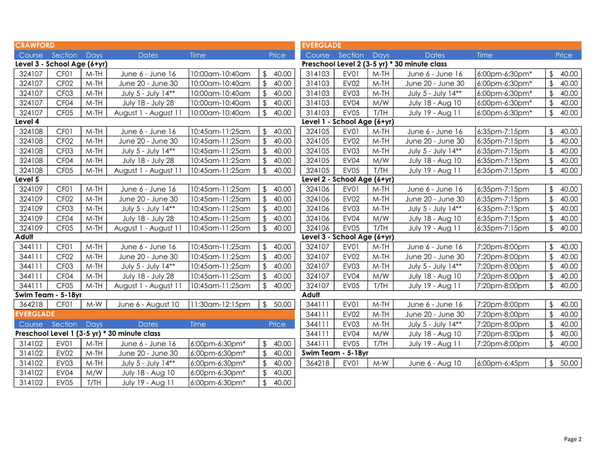| <b>CRAWFORD</b>  |                             |        |                                              |                 |                         |       | <b>EVERGLADE</b> |                             |        |                                              |                |                         |       |
|------------------|-----------------------------|--------|----------------------------------------------|-----------------|-------------------------|-------|------------------|-----------------------------|--------|----------------------------------------------|----------------|-------------------------|-------|
|                  | Course Section              | Days   | <b>Dates</b>                                 | Time            |                         | Price |                  | Course Section              | Days   | <b>Dates</b>                                 | Time           |                         | Price |
|                  | Level 3 - School Age (6+yr) |        |                                              |                 |                         |       |                  |                             |        | Preschool Level 2 (3-5 yr) * 30 minute class |                |                         |       |
| 324107           | CF <sub>01</sub>            | $M-TH$ | June 6 - June 16                             | 10:00am-10:40am | $\sqrt{2}$              | 40.00 | 314103           | EV01                        | $M-TH$ | June 6 - June 16                             | 6:00pm-6:30pm* | \$                      | 40.00 |
| 324107           | CF <sub>02</sub>            | $M-TH$ | June 20 - June 30                            | 10:00am-10:40am | $\sqrt{2}$              | 40.00 | 314103           | <b>EV02</b>                 | $M-TH$ | June 20 - June 30                            | 6:00pm-6:30pm* | $\sqrt[6]{\frac{1}{2}}$ | 40.00 |
| 324107           | CF <sub>03</sub>            | $M-TH$ | July 5 - July 14**                           | 10:00am-10:40am | \$                      | 40.00 | 314103           | EV03                        | $M-TH$ | July 5 - July 14**                           | 6:00pm-6:30pm* | \$                      | 40.00 |
| 324107           | CF04                        | $M-TH$ | July 18 - July 28                            | 10:00am-10:40am | $\sqrt[6]{\frac{1}{2}}$ | 40.00 | 314103           | EV04                        | M/W    | July 18 - Aug 10                             | 6:00pm-6:30pm* | $\sqrt[6]{2}$           | 40.00 |
| 324107           | CF <sub>05</sub>            | $M-TH$ | August 1 - August 11                         | 10:00am-10:40am | \$                      | 40.00 | 314103           | EV05                        | T/TH   | July 19 - Aug 11                             | 6:00pm-6:30pm* | $\sqrt{2}$              | 40.00 |
| Level 4          |                             |        |                                              |                 |                         |       |                  | Level 1 - School Age (6+yr) |        |                                              |                |                         |       |
| 324108           | CF <sub>01</sub>            | $M-TH$ | June 6 - June 16                             | 10:45am-11:25am | \$                      | 40.00 | 324105           | EV01                        | $M-TH$ | June 6 - June 16                             | 6:35pm-7:15pm  | \$                      | 40.00 |
| 324108           | CF <sub>02</sub>            | $M-TH$ | June 20 - June 30                            | 10:45am-11:25am | $\sqrt[6]{2}$           | 40.00 | 324105           | <b>EV02</b>                 | $M-TH$ | June 20 - June 30                            | 6:35pm-7:15pm  | $\sqrt[6]{2}$           | 40.00 |
| 324108           | CF <sub>03</sub>            | $M-TH$ | July 5 - July 14**                           | 10:45am-11:25am | $\mathfrak{L}$          | 40.00 | 324105           | <b>EV03</b>                 | $M-TH$ | July 5 - July 14**                           | 6:35pm-7:15pm  | $\sqrt{2}$              | 40.00 |
| 324108           | CF <sub>04</sub>            | $M-TH$ | July 18 - July 28                            | 10:45am-11:25am | \$                      | 40.00 | 324105           | EV04                        | M/W    | July 18 - Aug 10                             | 6:35pm-7:15pm  | $\sqrt[6]{2}$           | 40.00 |
| 324108           | CF <sub>05</sub>            | $M-TH$ | August 1 - August 11                         | 10:45am-11:25am | $\frac{1}{2}$           | 40.00 | 324105           | EV05                        | T/TH   | July 19 - Aug 11                             | 6:35pm-7:15pm  | $\frac{1}{2}$           | 40.00 |
| Level 5          |                             |        |                                              |                 |                         |       |                  | Level 2 - School Age (6+yr) |        |                                              |                |                         |       |
| 324109           | CF <sub>01</sub>            | $M-TH$ | June 6 - June 16                             | 10:45am-11:25am | $\sqrt[6]{2}$           | 40.00 | 324106           | EV01                        | $M-TH$ | June 6 - June 16                             | 6:35pm-7:15pm  | \$                      | 40.00 |
| 324109           | CF <sub>02</sub>            | $M-TH$ | June 20 - June 30                            | 10:45am-11:25am | $\sqrt{2}$              | 40.00 | 324106           | <b>EV02</b>                 | $M-TH$ | June 20 - June 30                            | 6:35pm-7:15pm  | $\sqrt{2}$              | 40.00 |
| 324109           | CF <sub>03</sub>            | $M-TH$ | July 5 - July 14**                           | 10:45am-11:25am | $\sqrt{2}$              | 40.00 | 324106           | <b>EV03</b>                 | $M-TH$ | July 5 - July 14**                           | 6:35pm-7:15pm  | $\sqrt[6]{\frac{1}{2}}$ | 40.00 |
| 324109           | CF04                        | $M-TH$ | July 18 - July 28                            | 10:45am-11:25am | $\sqrt{2}$              | 40.00 | 324106           | EV04                        | M/W    | July 18 - Aug 10                             | 6:35pm-7:15pm  | $\sqrt[6]{\frac{1}{2}}$ | 40.00 |
| 324109           | CF <sub>05</sub>            | $M-TH$ | August 1 - August 11                         | 10:45am-11:25am | $\sqrt{2}$              | 40.00 | 324106           | EV <sub>05</sub>            | T/TH   | July 19 - Aug 11                             | 6:35pm-7:15pm  | $\sqrt[6]{\frac{1}{2}}$ | 40.00 |
| Adult            |                             |        |                                              |                 |                         |       |                  | Level 3 - School Age (6+yr) |        |                                              |                |                         |       |
| 344111           | CF <sub>01</sub>            | $M-TH$ | June 6 - June 16                             | 10:45am-11:25am | $\mathfrak{L}$          | 40.00 | 324107           | EV01                        | $M-TH$ | June 6 - June 16                             | 7:20pm-8:00pm  | \$                      | 40.00 |
| 344111           | CF <sub>02</sub>            | $M-TH$ | June 20 - June 30                            | 10:45am-11:25am | $\sqrt{2}$              | 40.00 | 324107           | <b>EV02</b>                 | $M-TH$ | June 20 - June 30                            | 7:20pm-8:00pm  | $\sqrt[6]{2}$           | 40.00 |
| 344111           | CF <sub>03</sub>            | $M-TH$ | July 5 - July 14**                           | 10:45am-11:25am | $\sqrt{2}$              | 40.00 | 324107           | <b>EV03</b>                 | $M-TH$ | July 5 - July 14**                           | 7:20pm-8:00pm  | $\sqrt[6]{\frac{1}{2}}$ | 40.00 |
| 344111           | CF04                        | $M-TH$ | July 18 - July 28                            | 10:45am-11:25am | \$                      | 40.00 | 324107           | EV04                        | M/W    | July 18 - Aug 10                             | 7:20pm-8:00pm  | $\sqrt[6]{\frac{1}{2}}$ | 40.00 |
| 344111           | CF <sub>05</sub>            | $M-TH$ | August 1 - August 11                         | 10:45am-11:25am | \$                      | 40.00 | 324107           | EV05                        | T/TH   | July 19 - Aug 11                             | 7:20pm-8:00pm  | $\mathfrak{L}$          | 40.00 |
|                  | Swim Team - 5-18yr          |        |                                              |                 |                         |       | <b>Adult</b>     |                             |        |                                              |                |                         |       |
| 364218           | CF01                        | $M-W$  | June 6 - August 10                           | 11:30am-12:15pm | $\sqrt{2}$              | 50.00 | 344111           | EV01                        | $M-TH$ | June 6 - June 16                             | 7:20pm-8:00pm  | $\sqrt[6]{2}$           | 40.00 |
| <b>EVERGLADE</b> |                             |        |                                              |                 |                         |       | 344111           | <b>EV02</b>                 | $M-TH$ | June 20 - June 30                            | 7:20pm-8:00pm  | $\sqrt[6]{2}$           | 40.00 |
| Course           | Section                     | Days   | <b>Dates</b>                                 | <b>Time</b>     |                         | Price | 344111           | <b>EV03</b>                 | $M-TH$ | July 5 - July 14**                           | 7:20pm-8:00pm  | $\sqrt[6]{2}$           | 40.00 |
|                  |                             |        | Preschool Level 1 (3-5 yr) * 30 minute class |                 |                         |       | 344111           | EV04                        | M/W    | July 18 - Aug 10                             | 7:20pm-8:00pm  | $\mathfrak{D}$          | 40.00 |
| 314102           | EV01                        | $M-TH$ | June 6 - June 16                             | 6:00pm-6:30pm*  | \$                      | 40.00 | 344111           | EV05                        | T/TH   | July 19 - Aug 11                             | 7:20pm-8:00pm  | $\sqrt[6]{\frac{1}{2}}$ | 40.00 |
| 314102           | <b>EV02</b>                 | $M-TH$ | June 20 - June 30                            | 6:00pm-6:30pm*  | $\sqrt{2}$              | 40.00 |                  | Swim Team - 5-18yr          |        |                                              |                |                         |       |
| 314102           | EV03                        | $M-TH$ | July 5 - July 14**                           | 6:00pm-6:30pm*  | $\sqrt{2}$              | 40.00 | 364218           | EV01                        | $M-W$  | June 6 - Aug 10                              | 6:00pm-6:45pm  | $\mathfrak{L}$          | 50.00 |
| 314102           | EV04                        | M/W    | July 18 - Aug 10                             | 6:00pm-6:30pm*  |                         | 40.00 |                  |                             |        |                                              |                |                         |       |
| 314102           | EV05                        | T/TH   | July 19 - Aug 11                             | 6:00pm-6:30pm*  | $\sqrt[6]{\frac{1}{2}}$ | 40.00 |                  |                             |        |                                              |                |                         |       |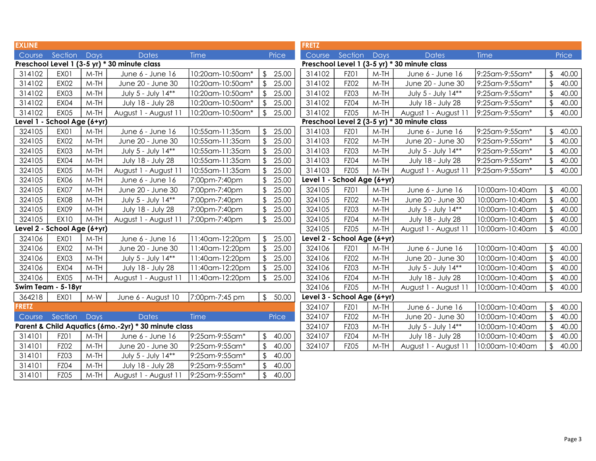| <b>EXLINE</b> |                             |        |                                                      |                  |                         |       | <b>FRETZ</b>                |                  |        |                                              |                 |                         |       |
|---------------|-----------------------------|--------|------------------------------------------------------|------------------|-------------------------|-------|-----------------------------|------------------|--------|----------------------------------------------|-----------------|-------------------------|-------|
| Course        | Section                     | Days   | <b>Dates</b>                                         | Time             |                         | Price | Course                      | Section          | Days   | <b>Dates</b>                                 | Time            |                         | Price |
|               |                             |        | Preschool Level 1 (3-5 yr) * 30 minute class         |                  |                         |       |                             |                  |        | Preschool Level 1 (3-5 yr) * 30 minute class |                 |                         |       |
| 314102        | EX01                        | $M-TH$ | June 6 - June 16                                     | 10:20am-10:50am* | $\sqrt{2}$              | 25.00 | 314102                      | FZ01             | $M-TH$ | June 6 - June 16                             | 9:25am-9:55am*  | \$                      | 40.00 |
| 314102        | <b>EX02</b>                 | $M-TH$ | June 20 - June 30                                    | 10:20am-10:50am* | $\sqrt[6]{\frac{1}{2}}$ | 25.00 | 314102                      | FZ02             | $M-TH$ | June 20 - June 30                            | 9:25am-9:55am*  | $\frac{1}{2}$           | 40.00 |
| 314102        | <b>EX03</b>                 | $M-TH$ | July 5 - July 14**                                   | 10:20am-10:50am* | $\sqrt[6]{\frac{1}{2}}$ | 25.00 | 314102                      | <b>FZ03</b>      | $M-TH$ | July 5 - July 14**                           | 9:25am-9:55am*  | \$                      | 40.00 |
| 314102        | <b>EX04</b>                 | $M-TH$ | July 18 - July 28                                    | 10:20am-10:50am* |                         | 25.00 | 314102                      | FZ04             | $M-TH$ | July 18 - July 28                            | 9:25am-9:55am*  | \$                      | 40.00 |
| 314102        | <b>EX05</b>                 | $M-TH$ | August 1 - August 11                                 | 10:20am-10:50am* | $\frac{1}{2}$           | 25.00 | 314102                      | <b>FZ05</b>      | $M-TH$ | August 1 - August 11                         | 9:25am-9:55am*  | $\frac{1}{2}$           | 40.00 |
|               | Level 1 - School Age (6+yr) |        |                                                      |                  |                         |       |                             |                  |        | Preschool Level 2 (3-5 yr) * 30 minute class |                 |                         |       |
| 324105        | EX01                        | $M-TH$ | June 6 - June 16                                     | 10:55am-11:35am  | $\sqrt{2}$              | 25.00 | 314103                      | FZ01             | $M-TH$ | June 6 - June 16                             | 9:25am-9:55am*  | $\sqrt[6]{2}$           | 40.00 |
| 324105        | <b>EX02</b>                 | $M-TH$ | June 20 - June 30                                    | 10:55am-11:35am  | $\sqrt{2}$              | 25.00 | 314103                      | FZ02             | $M-TH$ | June 20 - June 30                            | 9:25am-9:55am*  | \$                      | 40.00 |
| 324105        | <b>EX03</b>                 | $M-TH$ | July 5 - July 14**                                   | 10:55am-11:35am  | $\sqrt[6]{\frac{1}{2}}$ | 25.00 | 314103                      | <b>FZ03</b>      | $M-TH$ | July 5 - July 14**                           | 9:25am-9:55am*  | \$                      | 40.00 |
| 324105        | <b>EX04</b>                 | $M-TH$ | July 18 - July 28                                    | 10:55am-11:35am  | $\sqrt[6]{\frac{1}{2}}$ | 25.00 | 314103                      | FZ04             | $M-TH$ | July 18 - July 28                            | 9:25am-9:55am*  | \$                      | 40.00 |
| 324105        | <b>EX05</b>                 | $M-TH$ | August 1 - August 11                                 | 10:55am-11:35am  | $\sqrt[6]{\frac{1}{2}}$ | 25.00 | 314103                      | FZ05             | $M-TH$ | August 1 - August 11                         | 9:25am-9:55am*  | $\sqrt[6]{2}$           | 40.00 |
| 324105        | EX06                        | $M-TH$ | June 6 - June 16                                     | 7:00pm-7:40pm    | $\sqrt[6]{\frac{1}{2}}$ | 25.00 | Level 1 - School Age (6+yr) |                  |        |                                              |                 |                         |       |
| 324105        | <b>EX07</b>                 | $M-TH$ | June 20 - June 30                                    | 7:00pm-7:40pm    |                         | 25.00 | 324105                      | FZO <sub>1</sub> | $M-TH$ | June 6 - June 16                             | 10:00am-10:40am | \$                      | 40.00 |
| 324105        | <b>EX08</b>                 | $M-TH$ | July 5 - July 14**                                   | 7:00pm-7:40pm    | \$                      | 25.00 | 324105                      | FZ02             | M-TH   | June 20 - June 30                            | 10:00am-10:40am | \$                      | 40.00 |
| 324105        | <b>EX09</b>                 | $M-TH$ | July 18 - July 28                                    | 7:00pm-7:40pm    | $\mathfrak{L}$          | 25.00 | 324105                      | <b>FZ03</b>      | $M-TH$ | July 5 - July 14**                           | 10:00am-10:40am | \$                      | 40.00 |
| 324105        | <b>EX10</b>                 | $M-TH$ | August 1 - August 11                                 | 7:00pm-7:40pm    | $\sqrt{2}$              | 25.00 | 324105                      | FZ04             | $M-TH$ | July 18 - July 28                            | 10:00am-10:40am | $\mathfrak{L}$          | 40.00 |
|               | Level 2 - School Age (6+yr) |        |                                                      |                  |                         |       | 324105                      | <b>FZ05</b>      | $M-TH$ | August 1 - August 11                         | 10:00am-10:40am | \$                      | 40.00 |
| 324106        | EX01                        | $M-TH$ | June 6 - June 16                                     | 11:40am-12:20pm  | $\sqrt{2}$              | 25.00 | Level 2 - School Age (6+yr) |                  |        |                                              |                 |                         |       |
| 324106        | <b>EX02</b>                 | $M-TH$ | June 20 - June 30                                    | 11:40am-12:20pm  | $\sqrt[6]{\frac{1}{2}}$ | 25.00 | 324106                      | FZ01             | $M-TH$ | June 6 - June 16                             | 10:00am-10:40am | $\mathfrak{L}$          | 40.00 |
| 324106        | <b>EX03</b>                 | $M-TH$ | July 5 - July 14**                                   | 11:40am-12:20pm  |                         | 25.00 | 324106                      | FZ02             | $M-TH$ | June 20 - June 30                            | 10:00am-10:40am | $\mathfrak{D}$          | 40.00 |
| 324106        | <b>EX04</b>                 | $M-TH$ | July 18 - July 28                                    | 11:40am-12:20pm  | \$                      | 25.00 | 324106                      | <b>FZ03</b>      | $M-TH$ | July 5 - July 14**                           | 10:00am-10:40am | \$                      | 40.00 |
| 324106        | <b>EX05</b>                 | $M-TH$ | August 1 - August 11                                 | 11:40am-12:20pm  | $\sqrt{2}$              | 25.00 | 324106                      | <b>FZ04</b>      | $M-TH$ | July 18 - July 28                            | 10:00am-10:40am | \$                      | 40.00 |
|               | Swim Team - 5-18yr          |        |                                                      |                  |                         |       | 324106                      | <b>FZ05</b>      | $M-TH$ | August 1 - August 11                         | 10:00am-10:40am | $\mathfrak{D}$          | 40.00 |
| 364218        | <b>EX01</b>                 | $M-W$  | June 6 - August 10                                   | 7:00pm-7:45 pm   | $\sqrt[6]{}$            | 50.00 | Level 3 - School Age (6+yr) |                  |        |                                              |                 |                         |       |
| <b>FRETZ</b>  |                             |        |                                                      |                  |                         |       | 324107                      | FZ01             | $M-TH$ | June 6 - June 16                             | 10:00am-10:40am | \$                      | 40.00 |
| Course        | Section Days                |        | <b>Dates</b>                                         | Time             |                         | Price | 324107                      | FZ02             | $M-TH$ | June 20 - June 30                            | 10:00am-10:40am | \$                      | 40.00 |
|               |                             |        | Parent & Child Aquatics (6mo.-2yr) * 30 minute class |                  |                         |       | 324107                      | <b>FZ03</b>      | $M-TH$ | July 5 - July 14**                           | 10:00am-10:40am | \$                      | 40.00 |
| 314101        | FZO1                        | $M-TH$ | June 6 - June 16                                     | 9:25am-9:55am*   | $\mathfrak{L}$          | 40.00 | 324107                      | <b>FZ04</b>      | M-TH   | July 18 - July 28                            | 10:00am-10:40am | \$                      | 40.00 |
| 314101        | FZ02                        | $M-TH$ | June 20 - June 30                                    | 9:25am-9:55am*   | $\sqrt[6]{\frac{1}{2}}$ | 40.00 | 324107                      | FZ05             | $M-TH$ | August 1 - August 11                         | 10:00am-10:40am | $\sqrt[6]{\frac{1}{2}}$ | 40.00 |
| 314101        | FZ03                        | $M-TH$ | July 5 - July 14**                                   | 9:25am-9:55am*   | $\sqrt{2}$              | 40.00 |                             |                  |        |                                              |                 |                         |       |
| 314101        | <b>FZ04</b>                 | $M-TH$ | July 18 - July 28                                    | 9:25am-9:55am*   | \$                      | 40.00 |                             |                  |        |                                              |                 |                         |       |
| 314101        | <b>FZ05</b>                 | $M-TH$ | August 1 - August 11                                 | 9:25am-9:55am*   | $\sqrt{2}$              | 40.00 |                             |                  |        |                                              |                 |                         |       |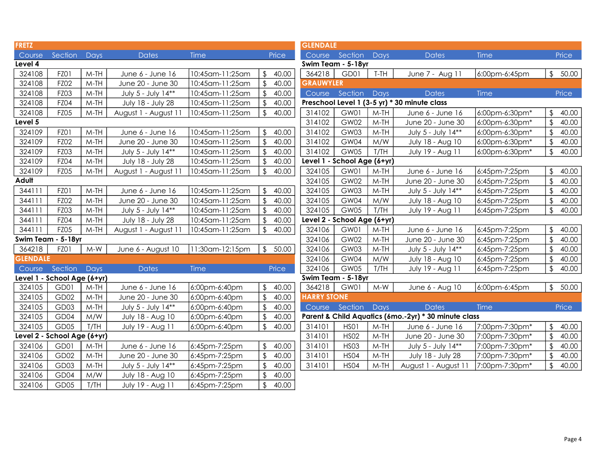| <b>FRETZ</b>    |                             |        |                      |                 |                         |         | <b>GLENDALE</b>             |                |        |                                                      |                |                         |       |
|-----------------|-----------------------------|--------|----------------------|-----------------|-------------------------|---------|-----------------------------|----------------|--------|------------------------------------------------------|----------------|-------------------------|-------|
| Course          | Section Days                |        | <b>Dates</b>         | <b>Time</b>     |                         | Price   |                             | Course Section | Days   | <b>Dates</b>                                         | Time           |                         | Price |
| Level 4         |                             |        |                      |                 |                         |         | Swim Team - 5-18yr          |                |        |                                                      |                |                         |       |
| 324108          | FZ01                        | $M-TH$ | June 6 - June 16     | 10:45am-11:25am | $\frac{1}{2}$           | 40.00   | 364218                      | GD01           | T-TH   | June 7 - Aug 11                                      | 6:00pm-6:45pm  | $\frac{1}{2}$           | 50.00 |
| 324108          | FZ02                        | $M-TH$ | June 20 - June 30    | 10:45am-11:25am | $\frac{1}{2}$           | 40.00   | <b>GRAUWYLER</b>            |                |        |                                                      |                |                         |       |
| 324108          | <b>FZ03</b>                 | $M-TH$ | July 5 - July 14**   | 10:45am-11:25am | \$                      | 40.00   | Course                      | Section        | Days   | <b>Dates</b>                                         | Time           |                         | Price |
| 324108          | <b>FZ04</b>                 | $M-TH$ | July 18 - July 28    | 10:45am-11:25am | $\sqrt[6]{2}$           | 40.00   |                             |                |        | Preschool Level 1 (3-5 yr) * 30 minute class         |                |                         |       |
| 324108          | <b>FZ05</b>                 | $M-TH$ | August 1 - August 11 | 10:45am-11:25am | $\sqrt{2}$              | 40.00   | 314102                      | GW01           | $M-TH$ | June 6 - June 16                                     | 6:00pm-6:30pm* | \$                      | 40.00 |
| Level 5         |                             |        |                      |                 |                         |         | 314102                      | GW02           | $M-TH$ | June 20 - June 30                                    | 6:00pm-6:30pm* | $\sqrt[6]{\frac{1}{2}}$ | 40.00 |
| 324109          | FZ01                        | $M-TH$ | June 6 - June 16     | 10:45am-11:25am | $\mathfrak{L}$          | 40.00   | 314102                      | GW03           | $M-TH$ | July 5 - July 14**                                   | 6:00pm-6:30pm* | $\sqrt[6]{\frac{1}{2}}$ | 40.00 |
| 324109          | FZ02                        | $M-TH$ | June 20 - June 30    | 10:45am-11:25am | $\sqrt[6]{\frac{1}{2}}$ | 40.00   | 314102                      | GW04           | M/W    | July 18 - Aug 10                                     | 6:00pm-6:30pm* | \$                      | 40.00 |
| 324109          | <b>FZ03</b>                 | $M-TH$ | July 5 - July 14**   | 10:45am-11:25am | \$                      | 40.00   | 314102                      | GW05           | T/TH   | July 19 - Aug 11                                     | 6:00pm-6:30pm* | \$                      | 40.00 |
| 324109          | <b>FZ04</b>                 | $M-TH$ | July 18 - July 28    | 10:45am-11:25am | $\frac{1}{2}$           | 40.00   | Level 1 - School Age (6+yr) |                |        |                                                      |                |                         |       |
| 324109          | <b>FZ05</b>                 | $M-TH$ | August 1 - August 11 | 10:45am-11:25am | $\frac{1}{2}$           | 40.00   | 324105                      | GW01           | $M-TH$ | June 6 - June 16                                     | 6:45pm-7:25pm  | \$                      | 40.00 |
| Adult           |                             |        |                      |                 |                         |         | 324105                      | GW02           | $M-TH$ | June 20 - June 30                                    | 6:45pm-7:25pm  | \$                      | 40.00 |
| 344111          | FZ01                        | $M-TH$ | June 6 - June 16     | 10:45am-11:25am |                         | \$40.00 | 324105                      | GW03           | $M-TH$ | July 5 - July 14**                                   | 6:45pm-7:25pm  | $\mathfrak{D}$          | 40.00 |
| 344111          | FZ02                        | $M-TH$ | June 20 - June 30    | 10:45am-11:25am | $\sqrt{2}$              | 40.00   | 324105                      | GW04           | M/W    | July 18 - Aug 10                                     | 6:45pm-7:25pm  | $\frac{1}{2}$           | 40.00 |
| 344111          | FZ03                        | $M-TH$ | July 5 - July 14**   | 10:45am-11:25am | $\frac{1}{2}$           | 40.00   | 324105                      | GW05           | T/TH   | July 19 - Aug 11                                     | 6:45pm-7:25pm  | $\frac{1}{2}$           | 40.00 |
| 344111          | FZ04                        | $M-TH$ | July 18 - July 28    | 10:45am-11:25am | \$                      | 40.00   | Level 2 - School Age (6+yr) |                |        |                                                      |                |                         |       |
| 344111          | <b>FZ05</b>                 | $M-TH$ | August 1 - August 11 | 10:45am-11:25am | $\frac{1}{2}$           | 40.00   | 324106                      | GW01           | $M-TH$ | June 6 - June 16                                     | 6:45pm-7:25pm  | $\frac{1}{2}$           | 40.00 |
|                 | Swim Team - 5-18yr          |        |                      |                 |                         |         | 324106                      | GW02           | $M-TH$ | June 20 - June 30                                    | 6:45pm-7:25pm  | $\frac{1}{2}$           | 40.00 |
| 364218          | FZ01                        | $M-W$  | June 6 - August 10   | 11:30am-12:15pm |                         | \$50.00 | 324106                      | GW03           | $M-TH$ | July 5 - July 14**                                   | 6:45pm-7:25pm  | \$                      | 40.00 |
| <b>GLENDALE</b> |                             |        |                      |                 |                         |         | 324106                      | GW04           | M/W    | July 18 - Aug 10                                     | 6:45pm-7:25pm  | \$                      | 40.00 |
| Course          | Section Days                |        | <b>Dates</b>         | <b>Time</b>     |                         | Price   | 324106                      | GW05           | T/TH   | July 19 - Aug 11                                     | 6:45pm-7:25pm  | $\sqrt[6]{\frac{1}{2}}$ | 40.00 |
|                 | Level 1 - School Age (6+yr) |        |                      |                 |                         |         | Swim Team - 5-18yr          |                |        |                                                      |                |                         |       |
| 324105          | GD01                        | $M-TH$ | June 6 - June 16     | 6:00pm-6:40pm   | $\frac{1}{2}$           | 40.00   | 364218                      | GW01           | $M-W$  | June 6 - Aug 10                                      | 6:00pm-6:45pm  | $\frac{1}{2}$           | 50.00 |
| 324105          | GD02                        | $M-TH$ | June 20 - June 30    | 6:00pm-6:40pm   | $\frac{1}{2}$           | 40.00   | <b>HARRY STONE</b>          |                |        |                                                      |                |                         |       |
| 324105          | GD03                        | $M-TH$ | July 5 - July 14**   | 6:00pm-6:40pm   | $\frac{1}{2}$           | 40.00   | Course                      | Section Days   |        | <b>Dates</b>                                         | <b>Time</b>    |                         | Price |
| 324105          | GD04                        | M/W    | July 18 - Aug 10     | 6:00pm-6:40pm   | $\sqrt[6]{\frac{1}{2}}$ | 40.00   |                             |                |        | Parent & Child Aquatics (6mo.-2yr) * 30 minute class |                |                         |       |
| 324105          | GD05                        | T/TH   | July 19 - Aug 11     | 6:00pm-6:40pm   | $\frac{1}{2}$           | 40.00   | 314101                      | HSO1           | $M-TH$ | June 6 - June 16                                     | 7:00pm-7:30pm* | \$                      | 40.00 |
|                 | Level 2 - School Age (6+yr) |        |                      |                 |                         |         | 314101                      | <b>HSO2</b>    | $M-TH$ | June 20 - June 30                                    | 7:00pm-7:30pm* | $\mathfrak{D}$          | 40.00 |
| 324106          | GD01                        | $M-TH$ | June 6 - June 16     | 6:45pm-7:25pm   | $\frac{1}{2}$           | 40.00   | 314101                      | <b>HS03</b>    | $M-TH$ | July 5 - July 14**                                   | 7:00pm-7:30pm* | $\sqrt[6]{\frac{1}{2}}$ | 40.00 |
| 324106          | GD02                        | $M-TH$ | June 20 - June 30    | 6:45pm-7:25pm   | $\sqrt[6]{\frac{1}{2}}$ | 40.00   | 314101                      | <b>HSO4</b>    | $M-TH$ | July 18 - July 28                                    | 7:00pm-7:30pm* | $\frac{1}{2}$           | 40.00 |
| 324106          | GD03                        | $M-TH$ | July 5 - July 14**   | 6:45pm-7:25pm   | $\frac{1}{2}$           | 40.00   | 314101                      | <b>HSO4</b>    | $M-TH$ | August 1 - August 11                                 | 7:00pm-7:30pm* | $\sqrt[6]{\frac{1}{2}}$ | 40.00 |
| 324106          | GD04                        | M/W    | July 18 - Aug 10     | 6:45pm-7:25pm   | $\sqrt[6]{\frac{1}{2}}$ | 40.00   |                             |                |        |                                                      |                |                         |       |
| 324106          | GD05                        | T/TH   | July 19 - Aug 11     | 6:45pm-7:25pm   | \$                      | 40.00   |                             |                |        |                                                      |                |                         |       |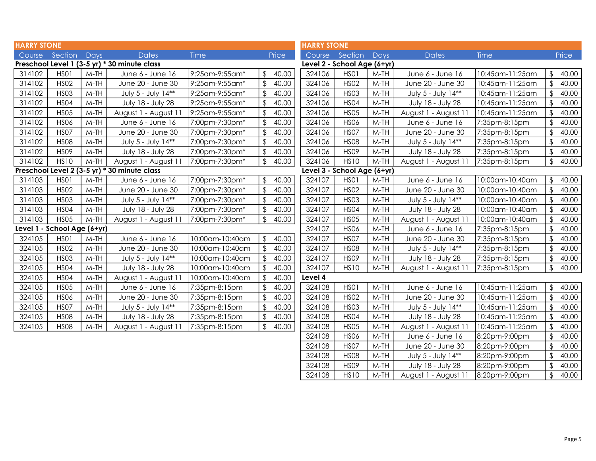| <b>HARRY STONE</b>          |             |        |                                              |                 |              |       | <b>HARRY STONE</b> |                             |             |                      |                 |                         |       |
|-----------------------------|-------------|--------|----------------------------------------------|-----------------|--------------|-------|--------------------|-----------------------------|-------------|----------------------|-----------------|-------------------------|-------|
| Course Section              |             | Days   | <b>Dates</b>                                 | Time            |              | Price |                    | Course Section              | <b>Days</b> | <b>Dates</b>         | Time            |                         | Price |
|                             |             |        | Preschool Level 1 (3-5 yr) * 30 minute class |                 |              |       |                    | Level 2 - School Age (6+yr) |             |                      |                 |                         |       |
| 314102                      | HSO1        | M-TH   | June 6 - June 16                             | 9:25am-9:55am*  | \$           | 40.00 | 324106             | HSO1                        | $M-TH$      | June 6 - June 16     | 10:45am-11:25am | \$                      | 40.00 |
| 314102                      | <b>HSO2</b> | $M-TH$ | June 20 - June 30                            | 9:25am-9:55am*  |              | 40.00 | 324106             | <b>HSO2</b>                 | $M-TH$      | June 20 - June 30    | 10:45am-11:25am |                         | 40.00 |
| 314102                      | <b>HSO3</b> | $M-TH$ | July 5 - July 14**                           | 9:25am-9:55am*  |              | 40.00 | 324106             | <b>HS03</b>                 | $M-TH$      | July 5 - July 14**   | 10:45am-11:25am |                         | 40.00 |
| 314102                      | <b>HSO4</b> | $M-TH$ | July 18 - July 28                            | 9:25am-9:55am*  |              | 40.00 | 324106             | <b>HS04</b>                 | $M-TH$      | July 18 - July 28    | 10:45am-11:25am | \$                      | 40.00 |
| 314102                      | <b>HS05</b> | $M-TH$ | August 1 - August 11                         | 9:25am-9:55am*  |              | 40.00 | 324106             | <b>HS05</b>                 | $M-TH$      | August 1 - August 11 | 10:45am-11:25am | \$                      | 40.00 |
| 314102                      | <b>HSO6</b> | $M-TH$ | June 6 - June 16                             | 7:00pm-7:30pm*  |              | 40.00 | 324106             | <b>HSO6</b>                 | $M-TH$      | June 6 - June 16     | 7:35pm-8:15pm   | $\sqrt{2}$              | 40.00 |
| 314102                      | <b>HSO7</b> | $M-TH$ | June 20 - June 30                            | 7:00pm-7:30pm*  |              | 40.00 | 324106             | <b>HSO7</b>                 | $M-TH$      | June 20 - June 30    | 7:35pm-8:15pm   |                         | 40.00 |
| 314102                      | <b>HS08</b> | $M-TH$ | July 5 - July 14**                           | 7:00pm-7:30pm*  |              | 40.00 | 324106             | <b>HS08</b>                 | $M-TH$      | July 5 - July 14**   | 7:35pm-8:15pm   |                         | 40.00 |
| 314102                      | <b>HSO9</b> | $M-TH$ | July 18 - July 28                            | 7:00pm-7:30pm*  |              | 40.00 | 324106             | <b>HSO9</b>                 | $M-TH$      | July 18 - July 28    | 7:35pm-8:15pm   | $\mathfrak{L}$          | 40.00 |
| 314102                      | <b>HS10</b> | $M-TH$ | August 1 - August 11                         | 7:00pm-7:30pm*  |              | 40.00 | 324106             | <b>HS10</b>                 | $M-TH$      | August 1 - August 11 | 7:35pm-8:15pm   | \$                      | 40.00 |
|                             |             |        | Preschool Level 2 (3-5 yr) * 30 minute class |                 |              |       |                    | Level 3 - School Age (6+yr) |             |                      |                 |                         |       |
| 314103                      | HSO1        | $M-TH$ | June 6 - June 16                             | 7:00pm-7:30pm*  | $\mathbb{S}$ | 40.00 | 324107             | HSO1                        | $M-TH$      | June 6 - June 16     | 10:00am-10:40am | $\mathfrak{L}$          | 40.00 |
| 314103                      | <b>HSO2</b> | $M-TH$ | June 20 - June 30                            | 7:00pm-7:30pm*  |              | 40.00 | 324107             | <b>HSO2</b>                 | $M-TH$      | June 20 - June 30    | 10:00am-10:40am |                         | 40.00 |
| 314103                      | <b>HSO3</b> | M-TH   | July 5 - July 14**                           | 7:00pm-7:30pm*  |              | 40.00 | 324107             | <b>HSO3</b>                 | $M-TH$      | July 5 - July 14**   | 10:00am-10:40am | \$                      | 40.00 |
| 314103                      | <b>HSO4</b> | $M-TH$ | July 18 - July 28                            | 7:00pm-7:30pm*  |              | 40.00 | 324107             | <b>HS04</b>                 | $M-TH$      | July 18 - July 28    | 10:00am-10:40am |                         | 40.00 |
| 314103                      | <b>HSO5</b> | $M-TH$ | August 1 - August 11                         | 7:00pm-7:30pm*  |              | 40.00 | 324107             | <b>HS05</b>                 | $M-TH$      | August 1 - August 11 | 10:00am-10:40am | $\sqrt[6]{\frac{1}{2}}$ | 40.00 |
| Level 1 - School Age (6+yr) |             |        |                                              |                 |              |       | 324107             | <b>HS06</b>                 | $M-TH$      | June 6 - June 16     | 7:35pm-8:15pm   | $\mathfrak{D}$          | 40.00 |
| 324105                      | HSO1        | $M-TH$ | June 6 - June 16                             | 10:00am-10:40am | \$           | 40.00 | 324107             | <b>HSO7</b>                 | $M-TH$      | June 20 - June 30    | 7:35pm-8:15pm   |                         | 40.00 |
| 324105                      | <b>HSO2</b> | $M-TH$ | June 20 - June 30                            | 10:00am-10:40am | \$           | 40.00 | 324107             | <b>HSO8</b>                 | $M-TH$      | July 5 - July 14**   | 7:35pm-8:15pm   | $\mathfrak{L}$          | 40.00 |
| 324105                      | <b>HS03</b> | $M-TH$ | July 5 - July 14**                           | 10:00am-10:40am |              | 40.00 | 324107             | <b>HSO9</b>                 | $M-TH$      | July 18 - July 28    | 7:35pm-8:15pm   | \$                      | 40.00 |
| 324105                      | <b>HSO4</b> | $M-TH$ | July 18 - July 28                            | 10:00am-10:40am |              | 40.00 | 324107             | <b>HS10</b>                 | $M-TH$      | August 1 - August 11 | 7:35pm-8:15pm   | \$                      | 40.00 |
| 324105                      | <b>HSO4</b> | $M-TH$ | August 1 - August 11                         | 10:00am-10:40am |              | 40.00 | Level 4            |                             |             |                      |                 |                         |       |
| 324105                      | <b>HSO5</b> | $M-TH$ | June 6 - June 16                             | 7:35pm-8:15pm   |              | 40.00 | 324108             | HSO1                        | $M-TH$      | June 6 - June 16     | 10:45am-11:25am | \$                      | 40.00 |
| 324105                      | <b>HSO6</b> | $M-TH$ | June 20 - June 30                            | 7:35pm-8:15pm   | \$           | 40.00 | 324108             | <b>HSO2</b>                 | $M-TH$      | June 20 - June 30    | 10:45am-11:25am | $\sqrt[6]{\frac{1}{2}}$ | 40.00 |
| 324105                      | <b>HSO7</b> | $M-TH$ | July 5 - July 14**                           | 7:35pm-8:15pm   |              | 40.00 | 324108             | <b>HS03</b>                 | $M-TH$      | July 5 - July 14**   | 10:45am-11:25am | \$                      | 40.00 |
| 324105                      | <b>HS08</b> | $M-TH$ | July 18 - July 28                            | 7:35pm-8:15pm   |              | 40.00 | 324108             | <b>HSO4</b>                 | $M-TH$      | July 18 - July 28    | 10:45am-11:25am | \$                      | 40.00 |
| 324105                      | <b>HS08</b> | $M-TH$ | August 1 - August 11                         | 7:35pm-8:15pm   |              | 40.00 | 324108             | <b>HS05</b>                 | $M-TH$      | August 1 - August 11 | 10:45am-11:25am |                         | 40.00 |
|                             |             |        |                                              |                 |              |       | 324108             | <b>HS06</b>                 | $M-TH$      | June 6 - June 16     | 8:20pm-9:00pm   | $\mathfrak{L}$          | 40.00 |
|                             |             |        |                                              |                 |              |       | 324108             | <b>HSO7</b>                 | $M-TH$      | June 20 - June 30    | 8:20pm-9:00pm   | $\mathfrak{L}$          | 40.00 |
|                             |             |        |                                              |                 |              |       | 324108             | <b>HS08</b>                 | $M-TH$      | July 5 - July 14**   | 8:20pm-9:00pm   | \$                      | 40.00 |
|                             |             |        |                                              |                 |              |       | 324108             | <b>HSO9</b>                 | $M-TH$      | July 18 - July 28    | 8:20pm-9:00pm   | $\sqrt[6]{2}$           | 40.00 |

324108 HS10 M-TH August 1 - August 11 8:20pm-9:00pm \$ 40.00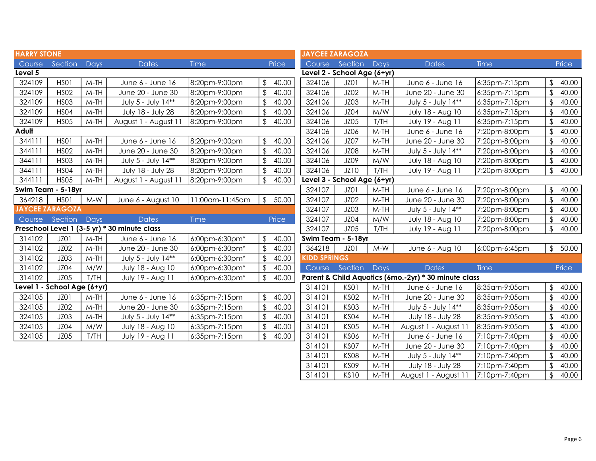| <b>HARRY STONE</b> |                             |        |                                              |                 |                                  |       | <b>JAYCEE ZARAGOZA</b>      |                     |        |                                                      |               |                         |       |
|--------------------|-----------------------------|--------|----------------------------------------------|-----------------|----------------------------------|-------|-----------------------------|---------------------|--------|------------------------------------------------------|---------------|-------------------------|-------|
| Course             | Section                     | Days   | <b>Dates</b>                                 | <b>Time</b>     | Price                            |       |                             | Course Section Days |        | <b>Dates</b>                                         | <b>Time</b>   |                         | Price |
| Level 5            |                             |        |                                              |                 |                                  |       | Level 2 - School Age (6+yr) |                     |        |                                                      |               |                         |       |
| 324109             | HSO1                        | $M-TH$ | June 6 - June 16                             | 8:20pm-9:00pm   | $\mathfrak{L}$                   | 40.00 | 324106                      | JZ01                | $M-TH$ | June 6 - June 16                                     | 6:35pm-7:15pm | \$                      | 40.00 |
| 324109             | <b>HSO2</b>                 | $M-TH$ | June 20 - June 30                            | 8:20pm-9:00pm   | $\sqrt[6]{\frac{1}{2}}$          | 40.00 | 324106                      | JZ02                | $M-TH$ | June 20 - June 30                                    | 6:35pm-7:15pm | $\sqrt[6]{\frac{1}{2}}$ | 40.00 |
| 324109             | <b>HSO3</b>                 | $M-TH$ | July 5 - July 14**                           | 8:20pm-9:00pm   | \$<br>40.00                      |       | 324106                      | JZ03                | $M-TH$ | July 5 - July 14**                                   | 6:35pm-7:15pm | $\frac{1}{2}$           | 40.00 |
| 324109             | <b>HSO4</b>                 | $M-TH$ | July 18 - July 28                            | 8:20pm-9:00pm   | $\sqrt{2}$                       | 40.00 | 324106                      | JZ04                | M/W    | July 18 - Aug 10                                     | 6:35pm-7:15pm | $\frac{1}{2}$           | 40.00 |
| 324109             | <b>HS05</b>                 | $M-TH$ | August 1 - August 11                         | 8:20pm-9:00pm   | $\sqrt{2}$                       | 40.00 | 324106                      | JZ05                | T/TH   | July 19 - Aug 11                                     | 6:35pm-7:15pm | $\sqrt[6]{\frac{1}{2}}$ | 40.00 |
| Adult              |                             |        |                                              |                 |                                  |       | 324106                      | JZ06                | $M-TH$ | June 6 - June 16                                     | 7:20pm-8:00pm | $\sqrt[6]{\frac{1}{2}}$ | 40.00 |
| 344111             | HSO1                        | $M-TH$ | June 6 - June 16                             | 8:20pm-9:00pm   | 40.00<br>$\frac{1}{2}$           |       | 324106                      | JZ07                | $M-TH$ | June 20 - June 30                                    | 7:20pm-8:00pm | $\sqrt{2}$              | 40.00 |
| 344111             | <b>HSO2</b>                 | $M-TH$ | June 20 - June 30                            | 8:20pm-9:00pm   | \$                               | 40.00 | 324106                      | JZ08                | $M-TH$ | July 5 - July 14**                                   | 7:20pm-8:00pm | $\sqrt{2}$              | 40.00 |
| 344111             | <b>HS03</b>                 | $M-TH$ | July 5 - July 14**                           | 8:20pm-9:00pm   | $\mathfrak{L}$                   | 40.00 | 324106                      | JZ09                | M/W    | July 18 - Aug 10                                     | 7:20pm-8:00pm | $\sqrt[6]{\frac{1}{2}}$ | 40.00 |
| 344111             | <b>HSO4</b>                 | $M-TH$ | July 18 - July 28                            | 8:20pm-9:00pm   | $\mathfrak{L}$                   | 40.00 | 324106                      | JZ10                | T/TH   | July 19 - Aug 11                                     | 7:20pm-8:00pm | $\mathfrak{L}$          | 40.00 |
| 344111             | <b>HSO5</b>                 | $M-TH$ | August 1 - August 11                         | 8:20pm-9:00pm   | \$                               | 40.00 | Level 3 - School Age (6+yr) |                     |        |                                                      |               |                         |       |
|                    | Swim Team - 5-18yr          |        |                                              |                 |                                  |       | 324107                      | JZO1                | $M-TH$ | June 6 - June 16                                     | 7:20pm-8:00pm | \$                      | 40.00 |
| 364218             | HSO1                        | $M-W$  | June 6 - August 10                           | 11:00am-11:45am | $\frac{1}{2}$<br>50.00           |       | 324107                      | JZ02                | $M-TH$ | June 20 - June 30                                    | 7:20pm-8:00pm | $\frac{1}{2}$           | 40.00 |
|                    | <b>JAYCEE ZARAGOZA</b>      |        |                                              |                 |                                  |       | 324107                      | JZ03                | $M-TH$ | July 5 - July 14**                                   | 7:20pm-8:00pm | $\sqrt{2}$              | 40.00 |
| Course             | Section                     | Days   | <b>Dates</b>                                 | <b>Time</b>     | Price                            |       | 324107                      | <b>JZ04</b>         | M/W    | July 18 - Aug 10                                     | 7:20pm-8:00pm | $\sqrt[6]{\frac{1}{2}}$ | 40.00 |
|                    |                             |        | Preschool Level 1 (3-5 yr) * 30 minute class |                 |                                  |       | 324107                      | JZ05                | T/TH   | July 19 - Aug 11                                     | 7:20pm-8:00pm | $\sqrt[6]{\frac{1}{2}}$ | 40.00 |
| 314102             | JZ01                        | $M-TH$ | June 6 - June 16                             | 6:00pm-6:30pm*  | $\sqrt[6]{\frac{1}{2}}$<br>40.00 |       | Swim Team - 5-18yr          |                     |        |                                                      |               |                         |       |
| 314102             | JZ02                        | $M-TH$ | June 20 - June 30                            | 6:00pm-6:30pm*  | $\sqrt[6]{\frac{1}{2}}$          | 40.00 | 364218                      | JZ01                | $M-W$  | June 6 - Aug 10                                      | 6:00pm-6:45pm | $\sqrt[6]{2}$           | 50.00 |
| 314102             | JZ03                        | $M-TH$ | July 5 - July 14**                           | 6:00pm-6:30pm*  | \$                               | 40.00 | <b>KIDD SPRINGS</b>         |                     |        |                                                      |               |                         |       |
| 314102             | JZ04                        | M/W    | July 18 - Aug 10                             | 6:00pm-6:30pm*  | $\sqrt[6]{\frac{1}{2}}$          | 40.00 | Course                      | Section             | Days   | <b>Dates</b>                                         | Time          |                         | Price |
| 314102             | JZ05                        | T/TH   | July 19 - Aug 11                             | 6:00pm-6:30pm*  | \$                               | 40.00 |                             |                     |        | Parent & Child Aquatics (6mo.-2yr) * 30 minute class |               |                         |       |
|                    | Level 1 - School Age (6+yr) |        |                                              |                 |                                  |       | 314101                      | KS01                | $M-TH$ | June 6 - June 16                                     | 8:35am-9:05am | $\frac{1}{2}$           | 40.00 |
| 324105             | JZ01                        | $M-TH$ | June 6 - June 16                             | 6:35pm-7:15pm   | $\sqrt{2}$                       | 40.00 | 314101                      | <b>KS02</b>         | $M-TH$ | June 20 - June 30                                    | 8:35am-9:05am | $\frac{1}{2}$           | 40.00 |
| 324105             | JZ02                        | $M-TH$ | June 20 - June 30                            | 6:35pm-7:15pm   | $\sqrt{2}$                       | 40.00 | 314101                      | <b>KS03</b>         | $M-TH$ | July 5 - July 14**                                   | 8:35am-9:05am | $\sqrt{2}$              | 40.00 |
| 324105             | JZ03                        | $M-TH$ | July 5 - July 14**                           | 6:35pm-7:15pm   | $\sqrt{2}$                       | 40.00 | 314101                      | <b>KS04</b>         | $M-TH$ | July 18 - July 28                                    | 8:35am-9:05am | $\sqrt[6]{\frac{1}{2}}$ | 40.00 |
| 324105             | JZ04                        | M/W    | July 18 - Aug 10                             | 6:35pm-7:15pm   | $\sqrt[6]{\frac{1}{2}}$          | 40.00 | 314101                      | <b>KS05</b>         | $M-TH$ | August 1 - August 11                                 | 8:35am-9:05am | $\sqrt[6]{\frac{1}{2}}$ | 40.00 |
| 324105             | JZ05                        | T/TH   | July 19 - Aug 11                             | 6:35pm-7:15pm   | $\frac{1}{2}$                    | 40.00 | 314101                      | <b>KS06</b>         | $M-TH$ | June 6 - June 16                                     | 7:10pm-7:40pm | $\sqrt{2}$              | 40.00 |
|                    |                             |        |                                              |                 |                                  |       | 314101                      | KS07                | $M-TH$ | June 20 - June 30                                    | 7:10pm-7:40pm | $\mathfrak{D}$          | 40.00 |
|                    |                             |        |                                              |                 |                                  |       | 314101                      | <b>KS08</b>         | $M-TH$ | July 5 - July 14**                                   | 7:10pm-7:40pm | $\mathfrak{D}$          | 40.00 |
|                    |                             |        |                                              |                 |                                  |       | 314101                      | <b>KS09</b>         | $M-TH$ | July 18 - July 28                                    | 7:10pm-7:40pm | $\sqrt{2}$              | 40.00 |
|                    |                             |        |                                              |                 |                                  |       | 314101                      | <b>KS10</b>         | $M-TH$ | August 1 - August 11                                 | 7:10pm-7:40pm | $\sqrt[6]{\frac{1}{2}}$ | 40.00 |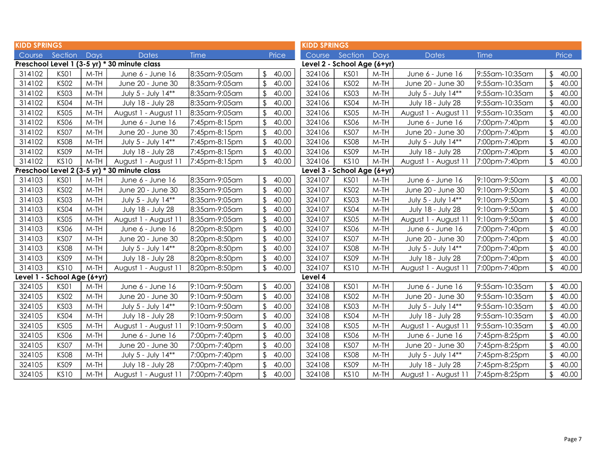| <b>KIDD SPRINGS</b> |                             |        |                                              |               |                         | <b>KIDD SPRINGS</b>         |                             |        |                      |                |                         |              |
|---------------------|-----------------------------|--------|----------------------------------------------|---------------|-------------------------|-----------------------------|-----------------------------|--------|----------------------|----------------|-------------------------|--------------|
| Course              | Section                     | Days   | <b>Dates</b>                                 | <b>Time</b>   | Price                   | Course Section              |                             | Days   | <b>Dates</b>         | Time           |                         | <b>Price</b> |
|                     |                             |        | Preschool Level 1 (3-5 yr) * 30 minute class |               |                         | Level 2 - School Age (6+yr) |                             |        |                      |                |                         |              |
| 314102              | KSO1                        | $M-TH$ | June 6 - June 16                             | 8:35am-9:05am | 40.00<br>\$.            | 324106                      | KS01                        | $M-TH$ | June 6 - June 16     | 9:55am-10:35am | \$                      | 40.00        |
| 314102              | <b>KS02</b>                 | $M-TH$ | June 20 - June 30                            | 8:35am-9:05am | \$<br>40.00             | 324106                      | <b>KS02</b>                 | $M-TH$ | June 20 - June 30    | 9:55am-10:35am | $\sqrt[6]{\frac{1}{2}}$ | 40.00        |
| 314102              | KS03                        | $M-TH$ | July 5 - July 14**                           | 8:35am-9:05am | \$<br>40.00             | 324106                      | KS03                        | $M-TH$ | July 5 - July 14**   | 9:55am-10:35am | $\frac{1}{2}$           | 40.00        |
| 314102              | <b>KS04</b>                 | $M-TH$ | July 18 - July 28                            | 8:35am-9:05am | \$<br>40.00             | 324106                      | <b>KS04</b>                 | $M-TH$ | July 18 - July 28    | 9:55am-10:35am | $\frac{1}{2}$           | 40.00        |
| 314102              | <b>KS05</b>                 | M-TH   | August 1 - August 11                         | 8:35am-9:05am | \$<br>40.00             | 324106                      | <b>KS05</b>                 | $M-TH$ | August 1 - August 11 | 9:55am-10:35am | $\sqrt[6]{\frac{1}{2}}$ | 40.00        |
| 314102              | <b>KS06</b>                 | $M-TH$ | June 6 - June 16                             | 7:45pm-8:15pm | $\mathfrak{L}$<br>40.00 | 324106                      | <b>KS06</b>                 | $M-TH$ | June 6 - June 16     | 7:00pm-7:40pm  | $\sqrt[6]{\frac{1}{2}}$ | 40.00        |
| 314102              | KS07                        | $M-TH$ | June 20 - June 30                            | 7:45pm-8:15pm | $\sqrt{2}$<br>40.00     | 324106                      | KS07                        | $M-TH$ | June 20 - June 30    | 7:00pm-7:40pm  | $\sqrt[6]{\frac{1}{2}}$ | 40.00        |
| 314102              | <b>KS08</b>                 | $M-TH$ | July 5 - July 14**                           | 7:45pm-8:15pm | $\sqrt[6]{2}$<br>40.00  | 324106                      | <b>KS08</b>                 | $M-TH$ | July 5 - July 14**   | 7:00pm-7:40pm  | $\frac{1}{2}$           | 40.00        |
| 314102              | KSO9                        | $M-TH$ | July 18 - July 28                            | 7:45pm-8:15pm | 40.00<br>\$             | 324106                      | <b>KS09</b>                 | $M-TH$ | July 18 - July 28    | 7:00pm-7:40pm  | $\frac{1}{2}$           | 40.00        |
| 314102              | <b>KS10</b>                 | $M-TH$ | August 1 - August 11                         | 7:45pm-8:15pm | \$<br>40.00             | 324106                      | <b>KS10</b>                 | $M-TH$ | August 1 - August 11 | 7:00pm-7:40pm  | $\frac{1}{2}$           | 40.00        |
|                     |                             |        | Preschool Level 2 (3-5 yr) * 30 minute class |               |                         |                             | Level 3 - School Age (6+yr) |        |                      |                |                         |              |
| 314103              | KS01                        | $M-TH$ | June 6 - June 16                             | 8:35am-9:05am | 40.00<br>\$             | 324107                      | KS01                        | $M-TH$ | June 6 - June 16     | 9:10am-9:50am  | \$                      | 40.00        |
| 314103              | <b>KS02</b>                 | $M-TH$ | June 20 - June 30                            | 8:35am-9:05am | \$<br>40.00             | 324107                      | <b>KS02</b>                 | $M-TH$ | June 20 - June 30    | 9:10am-9:50am  | $\sqrt[6]{\frac{1}{2}}$ | 40.00        |
| 314103              | <b>KS03</b>                 | $M-TH$ | July 5 - July 14**                           | 8:35am-9:05am | $\mathfrak{L}$<br>40.00 | 324107                      | <b>KS03</b>                 | $M-TH$ | July 5 - July 14**   | 9:10am-9:50am  | $\mathfrak{D}$          | 40.00        |
| 314103              | KS04                        | $M-TH$ | July 18 - July 28                            | 8:35am-9:05am | $\sqrt{2}$<br>40.00     | 324107                      | <b>KS04</b>                 | $M-TH$ | July 18 - July 28    | 9:10am-9:50am  | $\frac{1}{2}$           | 40.00        |
| 314103              | <b>KS05</b>                 | M-TH   | August 1 - August 11                         | 8:35am-9:05am | \$<br>40.00             | 324107                      | <b>KS05</b>                 | $M-TH$ | August 1 - August 11 | 9:10am-9:50am  | $\frac{1}{2}$           | 40.00        |
| 314103              | <b>KS06</b>                 | $M-TH$ | June 6 - June 16                             | 8:20pm-8:50pm | \$<br>40.00             | 324107                      | <b>KS06</b>                 | $M-TH$ | June 6 - June 16     | 7:00pm-7:40pm  | $\frac{1}{2}$           | 40.00        |
| 314103              | KS07                        | $M-TH$ | June 20 - June 30                            | 8:20pm-8:50pm | \$<br>40.00             | 324107                      | KS07                        | $M-TH$ | June 20 - June 30    | 7:00pm-7:40pm  | $\frac{1}{2}$           | 40.00        |
| 314103              | <b>KS08</b>                 | $M-TH$ | July 5 - July 14**                           | 8:20pm-8:50pm | \$<br>40.00             | 324107                      | <b>KS08</b>                 | $M-TH$ | July 5 - July 14**   | 7:00pm-7:40pm  | $\sqrt[6]{\frac{1}{2}}$ | 40.00        |
| 314103              | <b>KS09</b>                 | $M-TH$ | July 18 - July 28                            | 8:20pm-8:50pm | \$<br>40.00             | 324107                      | <b>KS09</b>                 | $M-TH$ | July 18 - July 28    | 7:00pm-7:40pm  | $\sqrt[6]{\frac{1}{2}}$ | 40.00        |
| 314103              | <b>KS10</b>                 | $M-TH$ | August 1 - August 11                         | 8:20pm-8:50pm | 40.00<br>$\sqrt{2}$     | 324107                      | <b>KS10</b>                 | $M-TH$ | August 1 - August 11 | 7:00pm-7:40pm  | $\frac{1}{2}$           | 40.00        |
|                     | Level 1 - School Age (6+yr) |        |                                              |               |                         | Level 4                     |                             |        |                      |                |                         |              |
| 324105              | KSO1                        | $M-TH$ | June 6 - June 16                             | 9:10am-9:50am | \$<br>40.00             | 324108                      | KS01                        | $M-TH$ | June 6 - June 16     | 9:55am-10:35am | $\sqrt[6]{2}$           | 40.00        |
| 324105              | <b>KS02</b>                 | $M-TH$ | June 20 - June 30                            | 9:10am-9:50am | \$<br>40.00             | 324108                      | <b>KS02</b>                 | $M-TH$ | June 20 - June 30    | 9:55am-10:35am | $\frac{1}{2}$           | 40.00        |
| 324105              | <b>KS03</b>                 | $M-TH$ | July 5 - July 14**                           | 9:10am-9:50am | \$<br>40.00             | 324108                      | <b>KS03</b>                 | $M-TH$ | July 5 - July 14**   | 9:55am-10:35am | $\sqrt[6]{2}$           | 40.00        |
| 324105              | KS04                        | $M-TH$ | July 18 - July 28                            | 9:10am-9:50am | \$<br>40.00             | 324108                      | <b>KS04</b>                 | $M-TH$ | July 18 - July 28    | 9:55am-10:35am | $\frac{1}{2}$           | 40.00        |
| 324105              | <b>KS05</b>                 | M-TH   | August 1 - August 11                         | 9:10am-9:50am | \$<br>40.00             | 324108                      | <b>KS05</b>                 | $M-TH$ | August 1 - August 11 | 9:55am-10:35am | $\frac{1}{2}$           | 40.00        |
| 324105              | <b>KS06</b>                 | M-TH   | June 6 - June 16                             | 7:00pm-7:40pm | \$<br>40.00             | 324108                      | <b>KS06</b>                 | $M-TH$ | June 6 - June 16     | 7:45pm-8:25pm  | \$                      | 40.00        |
| 324105              | KS07                        | $M-TH$ | June 20 - June 30                            | 7:00pm-7:40pm | \$<br>40.00             | 324108                      | KS07                        | $M-TH$ | June 20 - June 30    | 7:45pm-8:25pm  | $\sqrt[6]{\frac{1}{2}}$ | 40.00        |
| 324105              | <b>KS08</b>                 | $M-TH$ | July 5 - July 14**                           | 7:00pm-7:40pm | \$<br>40.00             | 324108                      | <b>KS08</b>                 | $M-TH$ | July 5 - July 14**   | 7:45pm-8:25pm  | $\sqrt[6]{\frac{1}{2}}$ | 40.00        |
| 324105              | <b>KS09</b>                 | $M-TH$ | July 18 - July 28                            | 7:00pm-7:40pm | 40.00<br>\$             | 324108                      | <b>KS09</b>                 | $M-TH$ | July 18 - July 28    | 7:45pm-8:25pm  | $\frac{1}{2}$           | 40.00        |
| 324105              | <b>KS10</b>                 | $M-TH$ | August 1 - August 11                         | 7:00pm-7:40pm | \$<br>40.00             | 324108                      | <b>KS10</b>                 | $M-TH$ | August 1 - August 11 | 7:45pm-8:25pm  | $\sqrt[6]{\frac{1}{2}}$ | 40.00        |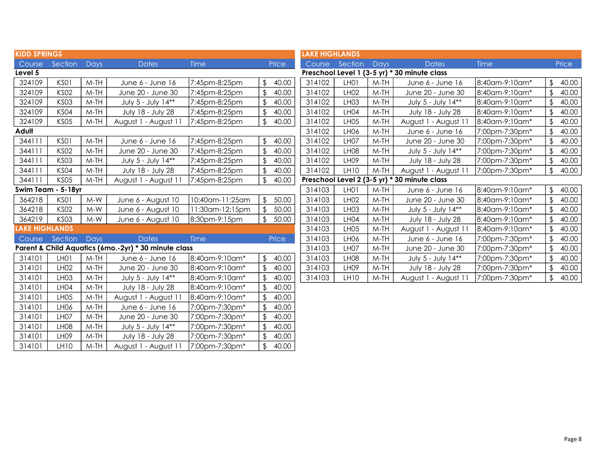| <b>KIDD SPRINGS</b>   |                    |        |                                                      |                 |                         |       | <b>LAKE HIGHLANDS</b> |                  |        |                                              |                |                |       |
|-----------------------|--------------------|--------|------------------------------------------------------|-----------------|-------------------------|-------|-----------------------|------------------|--------|----------------------------------------------|----------------|----------------|-------|
| Course                | Section            | Days   | <b>Dates</b>                                         | Time            |                         | Price |                       | Course Section   | Days   | <b>Dates</b>                                 | <b>Time</b>    |                | Price |
| Level 5               |                    |        |                                                      |                 |                         |       |                       |                  |        | Preschool Level 1 (3-5 yr) * 30 minute class |                |                |       |
| 324109                | KS01               | $M-TH$ | June 6 - June 16                                     | 7:45pm-8:25pm   | $\frac{1}{2}$           | 40.00 | 314102                | LH01             | $M-TH$ | June 6 - June 16                             | 8:40am-9:10am* | \$             | 40.00 |
| 324109                | <b>KS02</b>        | $M-TH$ | June 20 - June 30                                    | 7:45pm-8:25pm   | \$                      | 40.00 | 314102                | LH02             | $M-TH$ | June 20 - June 30                            | 8:40am-9:10am* | \$             | 40.00 |
| 324109                | <b>KS03</b>        | $M-TH$ | July 5 - July 14**                                   | 7:45pm-8:25pm   | $\sqrt[6]{\frac{1}{2}}$ | 40.00 | 314102                | LH <sub>03</sub> | $M-TH$ | July 5 - July 14**                           | 8:40am-9:10am* | \$             | 40.00 |
| 324109                | KS <sub>04</sub>   | $M-TH$ | July 18 - July 28                                    | 7:45pm-8:25pm   | \$                      | 40.00 | 314102                | LH <sub>04</sub> | $M-TH$ | July 18 - July 28                            | 8:40am-9:10am* |                | 40.00 |
| 324109                | <b>KS05</b>        | $M-TH$ | August 1 - August 11                                 | 7:45pm-8:25pm   | $\sqrt[6]{\frac{1}{2}}$ | 40.00 | 314102                | LH <sub>05</sub> | $M-TH$ | August 1 - August 11                         | 8:40am-9:10am* | \$             | 40.00 |
| Adult                 |                    |        |                                                      |                 |                         |       | 314102                | LH06             | $M-TH$ | June 6 - June 16                             | 7:00pm-7:30pm* | $\mathfrak{L}$ | 40.00 |
| 344111                | KS01               | $M-TH$ | June 6 - June 16                                     | 7:45pm-8:25pm   | $\frac{1}{2}$           | 40.00 | 314102                | LH07             | $M-TH$ | June 20 - June 30                            | 7:00pm-7:30pm* |                | 40.00 |
| 344111                | <b>KS02</b>        | $M-TH$ | June 20 - June 30                                    | 7:45pm-8:25pm   | $\sqrt[6]{\frac{1}{2}}$ | 40.00 | 314102                | LH <sub>08</sub> | $M-TH$ | July 5 - July 14**                           | 7:00pm-7:30pm* |                | 40.00 |
| 344111                | <b>KS03</b>        | $M-TH$ | July 5 - July 14**                                   | 7:45pm-8:25pm   | \$                      | 40.00 | 314102                | LH <sub>09</sub> | $M-TH$ | July 18 - July 28                            | 7:00pm-7:30pm* |                | 40.00 |
| 344111                | KS <sub>04</sub>   | $M-TH$ | July 18 - July 28                                    | 7:45pm-8:25pm   | $\sqrt{2}$              | 40.00 | 314102                | <b>LH10</b>      | $M-TH$ | August 1 - August 11                         | 7:00pm-7:30pm* | \$             | 40.00 |
| 344111                | <b>KS05</b>        | $M-TH$ | August 1 - August 11                                 | 7:45pm-8:25pm   | $\sqrt[6]{\frac{1}{2}}$ | 40.00 |                       |                  |        | Preschool Level 2 (3-5 yr) * 30 minute class |                |                |       |
|                       | Swim Team - 5-18yr |        |                                                      |                 |                         |       | 314103                | LH01             | $M-TH$ | June 6 - June 16                             | 8:40am-9:10am* | $\mathfrak{L}$ | 40.00 |
| 364218                | KS01               | $M-W$  | June 6 - August 10                                   | 10:40am-11:25am | $\sqrt{2}$              | 50.00 | 314103                | LH <sub>02</sub> | $M-TH$ | June 20 - June 30                            | 8:40am-9:10am* | $\mathfrak{L}$ | 40.00 |
| 364218                | <b>KS02</b>        | $M-W$  | June 6 - August 10                                   | 11:30am-12:15pm | \$                      | 50.00 | 314103                | LH <sub>03</sub> | $M-TH$ | July 5 - July 14**                           | 8:40am-9:10am* | \$             | 40.00 |
| 364219                | <b>KS03</b>        | $M-W$  | June 6 - August 10                                   | 8:30pm-9:15pm   | $\mathfrak{L}$          | 50.00 | 314103                | LH <sub>04</sub> | $M-TH$ | July 18 - July 28                            | 8:40am-9:10am* | $\mathfrak{L}$ | 40.00 |
| <b>LAKE HIGHLANDS</b> |                    |        |                                                      |                 |                         |       | 314103                | LH <sub>05</sub> | M-TH   | August 1 - August 11                         | 8:40am-9:10am* |                | 40.00 |
| Course                | Section            | Days   | <b>Dates</b>                                         | <b>Time</b>     |                         | Price | 314103                | <b>LH06</b>      | $M-TH$ | June 6 - June 16                             | 7:00pm-7:30pm* |                | 40.00 |
|                       |                    |        | Parent & Child Aquatics (6mo.-2yr) * 30 minute class |                 |                         |       | 314103                | LH07             | $M-TH$ | June 20 - June 30                            | 7:00pm-7:30pm* | $\mathcal{S}$  | 40.00 |
| 314101                | LH <sub>0</sub> 1  | $M-TH$ | June 6 - June 16                                     | 8:40am-9:10am*  | $\sqrt{2}$              | 40.00 | 314103                | LH <sub>08</sub> | $M-TH$ | July 5 - July 14**                           | 7:00pm-7:30pm* | \$             | 40.00 |
| 314101                | <b>LH02</b>        | $M-TH$ | June 20 - June 30                                    | 8:40am-9:10am*  | $\sqrt[6]{\frac{1}{2}}$ | 40.00 | 314103                | LH <sub>09</sub> | $M-TH$ | July 18 - July 28                            | 7:00pm-7:30pm* | $\mathfrak{L}$ | 40.00 |
| 314101                | LH <sub>03</sub>   | $M-TH$ | July 5 - July 14**                                   | 8:40am-9:10am*  | $\sqrt[6]{\frac{1}{2}}$ | 40.00 | 314103                | <b>LH10</b>      | $M-TH$ | August 1 - August 11                         | 7:00pm-7:30pm* | $\mathfrak{L}$ | 40.00 |
| 314101                | LH <sub>04</sub>   | $M-TH$ | July 18 - July 28                                    | 8:40am-9:10am*  | \$                      | 40.00 |                       |                  |        |                                              |                |                |       |
| 314101                | LH <sub>05</sub>   | $M-TH$ | August 1 - August 1                                  | 8:40am-9:10am*  | \$                      | 40.00 |                       |                  |        |                                              |                |                |       |
| 314101                | LH <sub>06</sub>   | $M-TH$ | June 6 - June 16                                     | 7:00pm-7:30pm*  | \$                      | 40.00 |                       |                  |        |                                              |                |                |       |
| 314101                | LH <sub>07</sub>   | $M-TH$ | June 20 - June 30                                    | 7:00pm-7:30pm*  | \$                      | 40.00 |                       |                  |        |                                              |                |                |       |
| 314101                | LH <sub>08</sub>   | $M-TH$ | July 5 - July 14**                                   | 7:00pm-7:30pm*  | $\sqrt[6]{\frac{1}{2}}$ | 40.00 |                       |                  |        |                                              |                |                |       |
| 314101                | LH <sub>09</sub>   | $M-TH$ | July 18 - July 28                                    | 7:00pm-7:30pm*  | \$                      | 40.00 |                       |                  |        |                                              |                |                |       |
| 314101                | <b>LH10</b>        | $M-TH$ | August 1 - August 11                                 | 7:00pm-7:30pm*  | \$                      | 40.00 |                       |                  |        |                                              |                |                |       |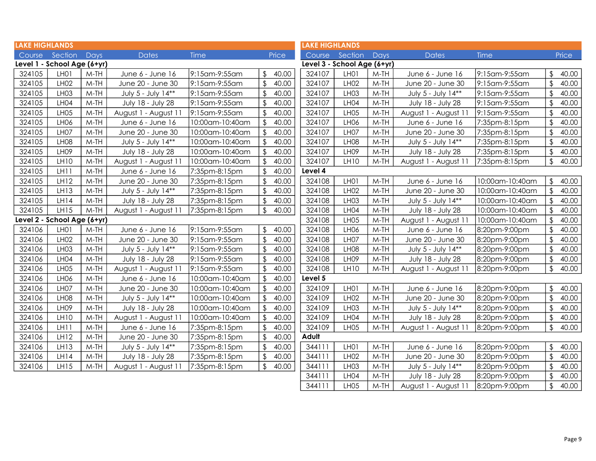| <b>LAKE HIGHLANDS</b> |                             |        |                          |                 |                         |       | <b>LAKE HIGHLANDS</b>       |                   |        |                      |                 |                         |       |
|-----------------------|-----------------------------|--------|--------------------------|-----------------|-------------------------|-------|-----------------------------|-------------------|--------|----------------------|-----------------|-------------------------|-------|
| Course                | Section                     | Days   | <b>Dates</b>             | <b>Time</b>     |                         | Price |                             | Course Section    | Days   | <b>Dates</b>         | Time            |                         | Price |
|                       | Level 1 - School Age (6+yr) |        |                          |                 |                         |       | Level 3 - School Age (6+yr) |                   |        |                      |                 |                         |       |
| 324105                | LH <sub>0</sub> 1           | $M-TH$ | June 6 - June 16         | 9:15am-9:55am   | $\frac{1}{2}$           | 40.00 | 324107                      | LH01              | $M-TH$ | June 6 - June 16     | 9:15am-9:55am   | \$                      | 40.00 |
| 324105                | LH <sub>02</sub>            | $M-TH$ | June 20 - June 30        | 9:15am-9:55am   | $\mathfrak{L}$          | 40.00 | 324107                      | LH <sub>02</sub>  | $M-TH$ | June 20 - June 30    | 9:15am-9:55am   | $\mathfrak{D}$          | 40.00 |
| 324105                | LH <sub>03</sub>            | $M-TH$ | July 5 - July 14**       | 9:15am-9:55am   | $\mathfrak{L}$          | 40.00 | 324107                      | LH <sub>03</sub>  | $M-TH$ | July 5 - July 14**   | 9:15am-9:55am   | $\mathfrak{D}$          | 40.00 |
| 324105                | LH <sub>04</sub>            | $M-TH$ | July 18 - July 28        | 9:15am-9:55am   | \$                      | 40.00 | 324107                      | LH04              | $M-TH$ | July 18 - July 28    | 9:15am-9:55am   | $\sqrt[6]{2}$           | 40.00 |
| 324105                | LH <sub>05</sub>            | $M-TH$ | August 1 - August 11     | 9:15am-9:55am   | $\frac{1}{2}$           | 40.00 | 324107                      | LH <sub>05</sub>  | $M-TH$ | August 1 - August 11 | 9:15am-9:55am   | \$                      | 40.00 |
| 324105                | LH <sub>06</sub>            | $M-TH$ | June 6 - June 16         | 10:00am-10:40am | \$                      | 40.00 | 324107                      | LH <sub>06</sub>  | $M-TH$ | June 6 - June 16     | 7:35pm-8:15pm   | \$                      | 40.00 |
| 324105                | LH07                        | $M-TH$ | June 20 - June 30        | 10:00am-10:40am | \$                      | 40.00 | 324107                      | LH07              | $M-TH$ | June 20 - June 30    | 7:35pm-8:15pm   | \$                      | 40.00 |
| 324105                | LH <sub>08</sub>            | $M-TH$ | July 5 - July 14**       | 10:00am-10:40am | \$                      | 40.00 | 324107                      | LH <sub>08</sub>  | $M-TH$ | July 5 - July 14**   | 7:35pm-8:15pm   | \$                      | 40.00 |
| 324105                | LH <sub>09</sub>            | $M-TH$ | July 18 - July 28        | 10:00am-10:40am | $\mathfrak{D}$          | 40.00 | 324107                      | LH <sub>09</sub>  | $M-TH$ | July 18 - July 28    | 7:35pm-8:15pm   | \$                      | 40.00 |
| 324105                | LH10                        | $M-TH$ | August 1 - August 11     | 10:00am-10:40am | \$                      | 40.00 | 324107                      | <b>LH10</b>       | $M-TH$ | August 1 - August 11 | 7:35pm-8:15pm   | $\frac{1}{2}$           | 40.00 |
| 324105                | LH11                        | $M-TH$ | June 6 - June 16         | 7:35pm-8:15pm   | \$                      | 40.00 | Level 4                     |                   |        |                      |                 |                         |       |
| 324105                | LH12                        | $M-TH$ | June 20 - June 30        | 7:35pm-8:15pm   | \$                      | 40.00 | 324108                      | LH01              | $M-TH$ | June 6 - June 16     | 10:00am-10:40am | \$                      | 40.00 |
| 324105                | LH <sub>13</sub>            | $M-TH$ | July 5 - July 14**       | 7:35pm-8:15pm   | \$                      | 40.00 | 324108                      | <b>LH02</b>       | $M-TH$ | June 20 - June 30    | 10:00am-10:40am | \$                      | 40.00 |
| 324105                | LH14                        | $M-TH$ | July 18 - July 28        | 7:35pm-8:15pm   | $\sqrt{2}$              | 40.00 | 324108                      | LH <sub>03</sub>  | $M-TH$ | July 5 - July 14**   | 10:00am-10:40am | \$                      | 40.00 |
| 324105                | LH15                        | $M-TH$ | August 1 - August 11     | 7:35pm-8:15pm   | $\frac{1}{2}$           | 40.00 | 324108                      | LH04              | $M-TH$ | July 18 - July 28    | 10:00am-10:40am | $\sqrt[6]{\frac{1}{2}}$ | 40.00 |
|                       | Level 2 - School Age (6+yr) |        |                          |                 |                         |       | 324108                      | LH <sub>05</sub>  | $M-TH$ | August 1 - August 11 | 10:00am-10:40am | $\sqrt{2}$              | 40.00 |
| 324106                | LH <sub>0</sub> 1           | $M-TH$ | June 6 - June 16         | 9:15am-9:55am   | $\frac{1}{2}$           | 40.00 | 324108                      | LH <sub>06</sub>  | $M-TH$ | June 6 - June 16     | 8:20pm-9:00pm   | $\sqrt[6]{\frac{1}{2}}$ | 40.00 |
| 324106                | LH <sub>02</sub>            | $M-TH$ | June 20 - June 30        | 9:15am-9:55am   | $\sqrt[6]{\frac{1}{2}}$ | 40.00 | 324108                      | LH07              | $M-TH$ | June 20 - June 30    | 8:20pm-9:00pm   | $\sqrt[6]{2}$           | 40.00 |
| 324106                | LH <sub>03</sub>            | $M-TH$ | July 5 - July 14**       | 9:15am-9:55am   | $\frac{1}{2}$           | 40.00 | 324108                      | LH <sub>08</sub>  | $M-TH$ | July 5 - July 14**   | 8:20pm-9:00pm   | $\sqrt{2}$              | 40.00 |
| 324106                | LH04                        | $M-TH$ | July 18 - July 28        | 9:15am-9:55am   | \$                      | 40.00 | 324108                      | LH <sub>09</sub>  | $M-TH$ | July 18 - July 28    | 8:20pm-9:00pm   | $\frac{1}{2}$           | 40.00 |
| 324106                | LH <sub>05</sub>            | $M-TH$ | August 1 - August 11     | 9:15am-9:55am   | $\sqrt[6]{\frac{1}{2}}$ | 40.00 | 324108                      | <b>LH10</b>       | $M-TH$ | August 1 - August 11 | 8:20pm-9:00pm   | \$                      | 40.00 |
| 324106                | LH <sub>06</sub>            | $M-TH$ | June 6 - June 16         | 10:00am-10:40am | $\frac{1}{2}$           | 40.00 | Level 5                     |                   |        |                      |                 |                         |       |
| 324106                | LH07                        | $M-TH$ | June 20 - June 30        | 10:00am-10:40am | $\mathfrak{D}$          | 40.00 | 324109                      | LH01              | $M-TH$ | June 6 - June 16     | 8:20pm-9:00pm   | \$                      | 40.00 |
| 324106                | LH <sub>08</sub>            | $M-TH$ | July 5 - July 14**       | 10:00am-10:40am | \$                      | 40.00 | 324109                      | LH02              | $M-TH$ | June 20 - June 30    | 8:20pm-9:00pm   | $\boldsymbol{\theta}$   | 40.00 |
| 324106                | LH <sub>09</sub>            | $M-TH$ | <b>July 18 - July 28</b> | 10:00am-10:40am | \$                      | 40.00 | 324109                      | LH <sub>03</sub>  | $M-TH$ | July 5 - July 14**   | 8:20pm-9:00pm   | \$                      | 40.00 |
| 324106                | <b>LH10</b>                 | $M-TH$ | August 1 - August 11     | 10:00am-10:40am | \$                      | 40.00 | 324109                      | LH04              | $M-TH$ | July 18 - July 28    | 8:20pm-9:00pm   | $\frac{1}{2}$           | 40.00 |
| 324106                | LH <sub>11</sub>            | $M-TH$ | June 6 - June 16         | 7:35pm-8:15pm   | $\frac{1}{2}$           | 40.00 | 324109                      | LH <sub>05</sub>  | $M-TH$ | August 1 - August 11 | 8:20pm-9:00pm   | $\frac{1}{2}$           | 40.00 |
| 324106                | LH12                        | $M-TH$ | June 20 - June 30        | 7:35pm-8:15pm   | $\mathfrak{L}$          | 40.00 | Adult                       |                   |        |                      |                 |                         |       |
| 324106                | LH <sub>13</sub>            | $M-TH$ | July 5 - July 14**       | 7:35pm-8:15pm   | $\frac{1}{2}$           | 40.00 | 344111                      | LH <sub>0</sub> 1 | $M-TH$ | June 6 - June 16     | 8:20pm-9:00pm   | \$                      | 40.00 |
| 324106                | LH14                        | $M-TH$ | July 18 - July 28        | 7:35pm-8:15pm   | $\sqrt[6]{\frac{1}{2}}$ | 40.00 | 344111                      | LH <sub>02</sub>  | $M-TH$ | June 20 - June 30    | 8:20pm-9:00pm   | $\sqrt[6]{2}$           | 40.00 |
| 324106                | LH15                        | $M-TH$ | August 1 - August 11     | 7:35pm-8:15pm   | $\sqrt[6]{\frac{1}{2}}$ | 40.00 | 344111                      | LH <sub>03</sub>  | $M-TH$ | July 5 - July 14**   | 8:20pm-9:00pm   | \$                      | 40.00 |
|                       |                             |        |                          |                 |                         |       | 344111                      | LH <sub>04</sub>  | $M-TH$ | July 18 - July 28    | 8:20pm-9:00pm   | $\sqrt[6]{2}$           | 40.00 |
|                       |                             |        |                          |                 |                         |       | 344111                      | LH <sub>05</sub>  | $M-TH$ | August 1 - August 11 | 8:20pm-9:00pm   | $\sqrt[6]{2}$           | 40.00 |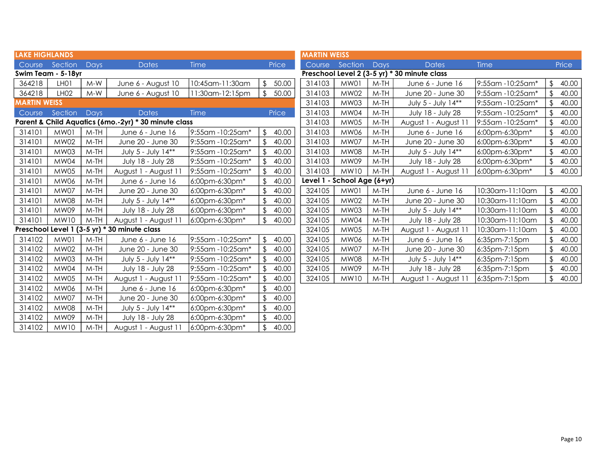| <b>LAKE HIGHLANDS</b> |                    |             |                                                      |                  |                         |       | <b>MARTIN WEISS</b> |                             |        |                                              |                   |               |       |
|-----------------------|--------------------|-------------|------------------------------------------------------|------------------|-------------------------|-------|---------------------|-----------------------------|--------|----------------------------------------------|-------------------|---------------|-------|
|                       | Course Section     | <b>Days</b> | <b>Dates</b>                                         | Time             |                         | Price | Course              | Section                     | Days   | <b>Dates</b>                                 | <b>Time</b>       |               | Price |
|                       | Swim Team - 5-18yr |             |                                                      |                  |                         |       |                     |                             |        | Preschool Level 2 (3-5 yr) * 30 minute class |                   |               |       |
| 364218                | LH <sub>0</sub> 1  | $M-W$       | June 6 - August 10                                   | 10:45am-11:30am  | \$                      | 50.00 | 314103              | MW01                        | $M-TH$ | June 6 - June 16                             | 9:55am -10:25am*  | \$            | 40.00 |
| 364218                | LH <sub>02</sub>   | $M-W$       | June 6 - August 10                                   | 11:30am-12:15pm  | $\mathfrak{L}$          | 50.00 | 314103              | <b>MW02</b>                 | $M-TH$ | June 20 - June 30                            | 9:55am -10:25am*  | \$            | 40.00 |
| <b>MARTIN WEISS</b>   |                    |             |                                                      |                  |                         |       | 314103              | <b>MW03</b>                 | M-TH   | July 5 - July 14**                           | 9:55am -10:25am*  | \$            | 40.00 |
| Course                | Section            | Days        | <b>Dates</b>                                         | Time             |                         | Price | 314103              | MW04                        | $M-TH$ | July 18 - July 28                            | 9:55am -10:25am*  | \$            | 40.00 |
|                       |                    |             | Parent & Child Aquatics (6mo.-2yr) * 30 minute class |                  |                         |       | 314103              | <b>MW05</b>                 | $M-TH$ | August 1 - August 11                         | 9:55am - 10:25am* | $\frac{1}{2}$ | 40.00 |
| 314101                | MW01               | $M-TH$      | June 6 - June 16                                     | 9:55am -10:25am* | \$                      | 40.00 | 314103              | <b>MW06</b>                 | M-TH   | June 6 - June 16                             | 6:00pm-6:30pm*    | \$            | 40.00 |
| 314101                | <b>MW02</b>        | $M-TH$      | June 20 - June 30                                    | 9:55am -10:25am* | $\sqrt[6]{\frac{1}{2}}$ | 40.00 | 314103              | <b>MW07</b>                 | M-TH   | June 20 - June 30                            | 6:00pm-6:30pm*    | \$            | 40.00 |
| 314101                | <b>MW03</b>        | M-TH        | July 5 - July 14**                                   | 9:55am -10:25am* |                         | 40.00 | 314103              | <b>MW08</b>                 | M-TH   | July 5 - July 14**                           | 6:00pm-6:30pm*    |               | 40.00 |
| 314101                | MW04               | $M-TH$      | July 18 - July 28                                    | 9:55am -10:25am* |                         | 40.00 | 314103              | <b>MW09</b>                 | $M-TH$ | July 18 - July 28                            | 6:00pm-6:30pm*    | \$            | 40.00 |
| 314101                | <b>MW05</b>        | $M-TH$      | August 1 - August 1                                  | 9:55am -10:25am* |                         | 40.00 | 314103              | <b>MW10</b>                 | $M-TH$ | August 1 - August 11                         | 6:00pm-6:30pm*    | \$            | 40.00 |
| 314101                | MW06               | $M-TH$      | June 6 - June 16                                     | 6:00pm-6:30pm*   |                         | 40.00 |                     | Level 1 - School Age (6+yr) |        |                                              |                   |               |       |
| 314101                | MW07               | $M-TH$      | June 20 - June 30                                    | 6:00pm-6:30pm*   |                         | 40.00 | 324105              | MW01                        | $M-TH$ | June 6 - June 16                             | 10:30am-11:10am   | $\mathbb{S}$  | 40.00 |
| 314101                | <b>MW08</b>        | $M-TH$      | July 5 - July 14**                                   | 6:00pm-6:30pm*   |                         | 40.00 | 324105              | <b>MW02</b>                 | M-TH   | June 20 - June 30                            | 10:30am-11:10am   |               | 40.00 |
| 314101                | MW09               | $M-TH$      | July 18 - July 28                                    | 6:00pm-6:30pm*   |                         | 40.00 | 324105              | MW03                        | $M-TH$ | July 5 - July 14**                           | 10:30am-11:10am   | \$            | 40.00 |
| 314101                | <b>MW10</b>        | $M-TH$      | August 1 - August 1                                  | 6:00pm-6:30pm*   | $\mathfrak{L}$          | 40.00 | 324105              | MW04                        | $M-TH$ | July 18 - July 28                            | 10:30am-11:10am   |               | 40.00 |
|                       |                    |             | Preschool Level 1 (3-5 yr) * 30 minute class         |                  |                         |       | 324105              | MW05                        | $M-TH$ | August 1 - August 11                         | 10:30am-11:10am   | \$            | 40.00 |
| 314102                | MW01               | $M-TH$      | June 6 - June 16                                     | 9:55am -10:25am* | $\mathfrak{L}$          | 40.00 | 324105              | <b>MW06</b>                 | $M-TH$ | June 6 - June 16                             | 6:35pm-7:15pm     | \$            | 40.00 |
| 314102                | <b>MW02</b>        | $M-TH$      | June 20 - June 30                                    | 9:55am -10:25am* |                         | 40.00 | 324105              | MW07                        | $M-TH$ | June 20 - June 30                            | 6:35pm-7:15pm     | \$            | 40.00 |
| 314102                | MW03               | $M-TH$      | July 5 - July 14**                                   | 9:55am -10:25am* | $\mathcal{L}$           | 40.00 | 324105              | <b>MW08</b>                 | $M-TH$ | July 5 - July 14**                           | 6:35pm-7:15pm     | \$            | 40.00 |
| 314102                | MW04               | $M-TH$      | July 18 - July 28                                    | 9:55am -10:25am* |                         | 40.00 | 324105              | <b>MW09</b>                 | $M-TH$ | July 18 - July 28                            | 6:35pm-7:15pm     | \$            | 40.00 |
| 314102                | <b>MW05</b>        | $M-TH$      | August 1 - August 1                                  | 9:55am -10:25am* |                         | 40.00 | 324105              | <b>MW10</b>                 | $M-TH$ | August 1 - August 11                         | 6:35pm-7:15pm     | \$            | 40.00 |
| 314102                | MW06               | $M-TH$      | June 6 - June 16                                     | 6:00pm-6:30pm*   |                         | 40.00 |                     |                             |        |                                              |                   |               |       |
| 314102                | MW07               | M-TH        | June 20 - June 30                                    | 6:00pm-6:30pm*   |                         | 40.00 |                     |                             |        |                                              |                   |               |       |
| 314102                | <b>MW08</b>        | $M-TH$      | July 5 - July 14**                                   | 6:00pm-6:30pm*   |                         | 40.00 |                     |                             |        |                                              |                   |               |       |
| 314102                | <b>MW09</b>        | $M-TH$      | July 18 - July 28                                    | 6:00pm-6:30pm*   |                         | 40.00 |                     |                             |        |                                              |                   |               |       |
| 314102                | <b>MW10</b>        | $M-TH$      | August 1 - August 11                                 | 6:00pm-6:30pm*   | \$                      | 40.00 |                     |                             |        |                                              |                   |               |       |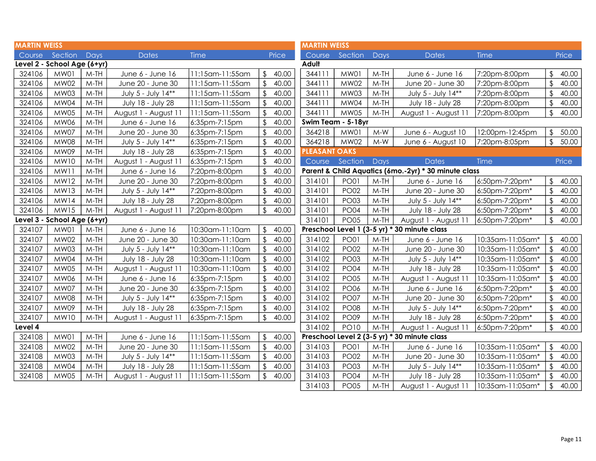| <b>MARTIN WEISS</b> |                             |        |                      |                 |                         |       | <b>MARTIN WEISS</b>  |                    |        |                                                      |                  |                         |       |
|---------------------|-----------------------------|--------|----------------------|-----------------|-------------------------|-------|----------------------|--------------------|--------|------------------------------------------------------|------------------|-------------------------|-------|
| Course              | Section                     | Days   | <b>Dates</b>         | <b>Time</b>     |                         | Price | Course               | Section            | Days   | <b>Dates</b>                                         | <b>Time</b>      |                         | Price |
|                     | Level 2 - School Age (6+yr) |        |                      |                 |                         |       | Adult                |                    |        |                                                      |                  |                         |       |
| 324106              | MW01                        | $M-TH$ | June 6 - June 16     | 11:15am-11:55am | \$                      | 40.00 | 344111               | MW01               | $M-TH$ | June 6 - June 16                                     | 7:20pm-8:00pm    | \$                      | 40.00 |
| 324106              | <b>MW02</b>                 | $M-TH$ | June 20 - June 30    | 11:15am-11:55am | \$                      | 40.00 | 344111               | <b>MW02</b>        | $M-TH$ | June 20 - June 30                                    | 7:20pm-8:00pm    | $\sqrt{2}$              | 40.00 |
| 324106              | <b>MW03</b>                 | $M-TH$ | July 5 - July 14**   | 11:15am-11:55am |                         | 40.00 | 344111               | MW03               | $M-TH$ | July 5 - July 14**                                   | 7:20pm-8:00pm    | $\mathfrak{L}$          | 40.00 |
| 324106              | <b>MW04</b>                 | $M-TH$ | July 18 - July 28    | 11:15am-11:55am | \$                      | 40.00 | 344111               | MW04               | $M-TH$ | July 18 - July 28                                    | 7:20pm-8:00pm    | \$                      | 40.00 |
| 324106              | <b>MW05</b>                 | $M-TH$ | August 1 - August 11 | 11:15am-11:55am | \$                      | 40.00 | 344111               | MW05               | $M-TH$ | August 1 - August 11                                 | 7:20pm-8:00pm    | $\mathfrak{L}$          | 40.00 |
| 324106              | <b>MW06</b>                 | $M-TH$ | June 6 - June 16     | 6:35pm-7:15pm   | \$                      | 40.00 |                      | Swim Team - 5-18yr |        |                                                      |                  |                         |       |
| 324106              | MW07                        | $M-TH$ | June 20 - June 30    | 6:35pm-7:15pm   |                         | 40.00 | 364218               | MW01               | $M-W$  | June 6 - August 10                                   | 12:00pm-12:45pm  | \$                      | 50.00 |
| 324106              | <b>MW08</b>                 | $M-TH$ | July 5 - July 14**   | 6:35pm-7:15pm   |                         | 40.00 | 364218               | <b>MW02</b>        | $M-W$  | June 6 - August 10                                   | 7:20pm-8:05pm    | $\sqrt{2}$              | 50.00 |
| 324106              | MW09                        | $M-TH$ | July 18 - July 28    | 6:35pm-7:15pm   |                         | 40.00 | <b>PLEASANT OAKS</b> |                    |        |                                                      |                  |                         |       |
| 324106              | <b>MW10</b>                 | $M-TH$ | August 1 - August 1  | 6:35pm-7:15pm   |                         | 40.00 | Course               | Section            | Days   | <b>Dates</b>                                         | Time             |                         | Price |
| 324106              | <b>MW11</b>                 | $M-TH$ | June 6 - June 16     | 7:20pm-8:00pm   | \$                      | 40.00 |                      |                    |        | Parent & Child Aquatics (6mo.-2yr) * 30 minute class |                  |                         |       |
| 324106              | <b>MW12</b>                 | $M-TH$ | June 20 - June 30    | 7:20pm-8:00pm   | \$                      | 40.00 | 314101               | <b>PO01</b>        | $M-TH$ | June 6 - June 16                                     | 6:50pm-7:20pm*   |                         | 40.00 |
| 324106              | <b>MW13</b>                 | $M-TH$ | July 5 - July 14**   | 7:20pm-8:00pm   |                         | 40.00 | 314101               | <b>PO02</b>        | $M-TH$ | June 20 - June 30                                    | 6:50pm-7:20pm*   | $\sqrt{2}$              | 40.00 |
| 324106              | MW14                        | $M-TH$ | July 18 - July 28    | 7:20pm-8:00pm   | $\mathfrak{L}$          | 40.00 | 314101               | <b>PO03</b>        | $M-TH$ | July 5 - July 14**                                   | 6:50pm-7:20pm*   | $\sqrt{2}$              | 40.00 |
| 324106              | <b>MW15</b>                 | $M-TH$ | August 1 - August 11 | 7:20pm-8:00pm   | $\sqrt[6]{\frac{1}{2}}$ | 40.00 | 314101               | <b>PO04</b>        | $M-TH$ | July 18 - July 28                                    | 6:50pm-7:20pm*   | $\sqrt{2}$              | 40.00 |
|                     | Level 3 - School Age (6+yr) |        |                      |                 |                         |       | 314101               | <b>PO05</b>        | $M-TH$ | August 1 - August 11                                 | 6:50pm-7:20pm*   | $\mathfrak{L}$          | 40.00 |
| 324107              | MW01                        | $M-TH$ | June 6 - June 16     | 10:30am-11:10am | \$                      | 40.00 |                      |                    |        | Preschool Level 1 (3-5 yr) * 30 minute class         |                  |                         |       |
| 324107              | <b>MW02</b>                 | $M-TH$ | June 20 - June 30    | 10:30am-11:10am | $\sqrt[6]{\frac{1}{2}}$ | 40.00 | 314102               | <b>PO01</b>        | $M-TH$ | June 6 - June 16                                     | 10:35am-11:05am* | \$                      | 40.00 |
| 324107              | <b>MW03</b>                 | $M-TH$ | July 5 - July 14**   | 10:30am-11:10am | \$                      | 40.00 | 314102               | <b>PO02</b>        | $M-TH$ | June 20 - June 30                                    | 10:35am-11:05am* | \$                      | 40.00 |
| 324107              | MW04                        | $M-TH$ | July 18 - July 28    | 10:30am-11:10am |                         | 40.00 | 314102               | <b>PO03</b>        | $M-TH$ | July 5 - July 14**                                   | 10:35am-11:05am* | \$                      | 40.00 |
| 324107              | <b>MW05</b>                 | $M-TH$ | August 1 - August 1  | 10:30am-11:10am | $\mathfrak{P}$          | 40.00 | 314102               | <b>PO04</b>        | $M-TH$ | July 18 - July 28                                    | 10:35am-11:05am* |                         | 40.00 |
| 324107              | <b>MW06</b>                 | $M-TH$ | June 6 - June 16     | 6:35pm-7:15pm   | $\mathfrak{D}$          | 40.00 | 314102               | <b>PO05</b>        | $M-TH$ | August 1 - August 11                                 | 10:35am-11:05am* |                         | 40.00 |
| 324107              | MW07                        | $M-TH$ | June 20 - June 30    | 6:35pm-7:15pm   |                         | 40.00 | 314102               | <b>PO06</b>        | $M-TH$ | June 6 - June 16                                     | 6:50pm-7:20pm*   |                         | 40.00 |
| 324107              | <b>MW08</b>                 | $M-TH$ | July 5 - July 14**   | 6:35pm-7:15pm   | \$                      | 40.00 | 314102               | <b>PO07</b>        | $M-TH$ | June 20 - June 30                                    | 6:50pm-7:20pm*   | $\mathfrak{L}$          | 40.00 |
| 324107              | MW09                        | $M-TH$ | July 18 - July 28    | 6:35pm-7:15pm   | \$                      | 40.00 | 314102               | <b>PO08</b>        | $M-TH$ | July 5 - July 14**                                   | 6:50pm-7:20pm*   | $\mathfrak{L}$          | 40.00 |
| 324107              | <b>MW10</b>                 | $M-TH$ | August 1 - August 11 | 6:35pm-7:15pm   | \$                      | 40.00 | 314102               | <b>PO09</b>        | $M-TH$ | July 18 - July 28                                    | 6:50pm-7:20pm*   | $\mathfrak{L}$          | 40.00 |
| Level 4             |                             |        |                      |                 |                         |       | 314102               | <b>PO10</b>        | $M-TH$ | August 1 - August 11                                 | 6:50pm-7:20pm*   | $\mathfrak{L}$          | 40.00 |
| 324108              | MW01                        | $M-TH$ | June 6 - June 16     | 11:15am-11:55am | $\mathfrak{L}$          | 40.00 |                      |                    |        | Preschool Level 2 (3-5 yr) * 30 minute class         |                  |                         |       |
| 324108              | <b>MW02</b>                 | $M-TH$ | June 20 - June 30    | 11:15am-11:55am | $\sqrt{2}$              | 40.00 | 314103               | <b>PO01</b>        | $M-TH$ | June 6 - June 16                                     | 10:35am-11:05am* | \$                      | 40.00 |
| 324108              | MW03                        | $M-TH$ | July 5 - July 14**   | 11:15am-11:55am | \$                      | 40.00 | 314103               | <b>PO02</b>        | $M-TH$ | June 20 - June 30                                    | 10:35am-11:05am* | \$                      | 40.00 |
| 324108              | MW04                        | $M-TH$ | July 18 - July 28    | 11:15am-11:55am | \$                      | 40.00 | 314103               | <b>PO03</b>        | $M-TH$ | July 5 - July 14**                                   | 10:35am-11:05am* | $\sqrt[6]{\frac{1}{2}}$ | 40.00 |
| 324108              | <b>MW05</b>                 | $M-TH$ | August 1 - August 11 | 11:15am-11:55am |                         | 40.00 | 314103               | <b>PO04</b>        | $M-TH$ | July 18 - July 28                                    | 10:35am-11:05am* |                         | 40.00 |
|                     |                             |        |                      |                 |                         |       | 314103               | <b>PO05</b>        | $M-TH$ | August 1 - August 11                                 | 10:35am-11:05am* | $\sqrt{2}$              | 40.00 |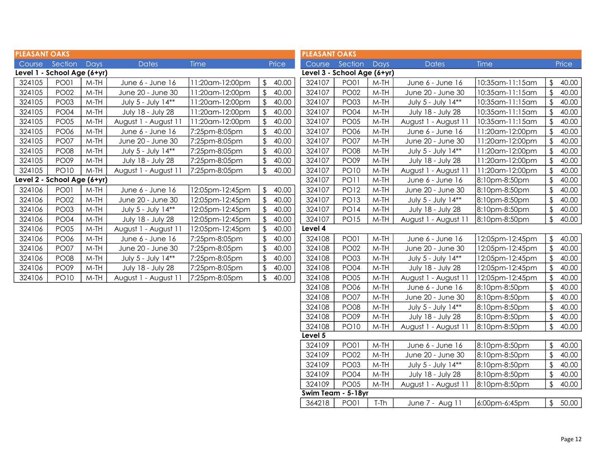| <b>PLEASANT OAKS</b> |                             |        |                      |                 |                         |       | <b>PLEASANT OAKS</b>        |             |        |                      |                 |                         |       |
|----------------------|-----------------------------|--------|----------------------|-----------------|-------------------------|-------|-----------------------------|-------------|--------|----------------------|-----------------|-------------------------|-------|
|                      | Course Section Days         |        | <b>Dates</b>         | <b>Time</b>     |                         | Price | Course                      | Section     | Days   | <b>Dates</b>         | <b>Time</b>     |                         | Price |
|                      | Level 1 - School Age (6+yr) |        |                      |                 |                         |       | Level 3 - School Age (6+yr) |             |        |                      |                 |                         |       |
| 324105               | <b>PO01</b>                 | $M-TH$ | June 6 - June 16     | 11:20am-12:00pm | \$                      | 40.00 | 324107                      | <b>PO01</b> | $M-TH$ | June 6 - June 16     | 10:35am-11:15am | $\sqrt[6]{\frac{1}{2}}$ | 40.00 |
| 324105               | <b>PO02</b>                 | $M-TH$ | June 20 - June 30    | 11:20am-12:00pm | \$                      | 40.00 | 324107                      | <b>PO02</b> | $M-TH$ | June 20 - June 30    | 10:35am-11:15am | \$                      | 40.00 |
| 324105               | <b>PO03</b>                 | $M-TH$ | July 5 - July 14**   | 11:20am-12:00pm | $\mathfrak{L}$          | 40.00 | 324107                      | <b>PO03</b> | $M-TH$ | July 5 - July 14**   | 10:35am-11:15am | $\mathfrak{z}$          | 40.00 |
| 324105               | <b>PO04</b>                 | $M-TH$ | July 18 - July 28    | 11:20am-12:00pm | $\mathfrak{L}$          | 40.00 | 324107                      | <b>PO04</b> | $M-TH$ | July 18 - July 28    | 10:35am-11:15am |                         | 40.00 |
| 324105               | <b>PO05</b>                 | $M-TH$ | August 1 - August 11 | 11:20am-12:00pm | $\mathfrak{L}$          | 40.00 | 324107                      | <b>PO05</b> | $M-TH$ | August 1 - August 11 | 10:35am-11:15am |                         | 40.00 |
| 324105               | <b>PO06</b>                 | $M-TH$ | June 6 - June 16     | 7:25pm-8:05pm   | $\sqrt[6]{\frac{1}{2}}$ | 40.00 | 324107                      | <b>PO06</b> | $M-TH$ | June 6 - June 16     | 11:20am-12:00pm | $\mathfrak{L}$          | 40.00 |
| 324105               | <b>PO07</b>                 | $M-TH$ | June 20 - June 30    | 7:25pm-8:05pm   | $\sqrt[6]{\frac{1}{2}}$ | 40.00 | 324107                      | <b>PO07</b> | $M-TH$ | June 20 - June 30    | 11:20am-12:00pm | $\mathfrak{D}$          | 40.00 |
| 324105               | <b>PO08</b>                 | $M-TH$ | July 5 - July 14**   | 7:25pm-8:05pm   | $\mathfrak{L}$          | 40.00 | 324107                      | <b>PO08</b> | $M-TH$ | July 5 - July 14**   | 11:20am-12:00pm |                         | 40.00 |
| 324105               | <b>PO09</b>                 | $M-TH$ | July 18 - July 28    | 7:25pm-8:05pm   |                         | 40.00 | 324107                      | <b>PO09</b> | $M-TH$ | July 18 - July 28    | 11:20am-12:00pm | $\mathfrak{L}$          | 40.00 |
| 324105               | <b>PO10</b>                 | $M-TH$ | August 1 - August 11 | 7:25pm-8:05pm   | \$                      | 40.00 | 324107                      | <b>PO10</b> | $M-TH$ | August 1 - August 11 | 11:20am-12:00pm | \$                      | 40.00 |
|                      | Level 2 - School Age (6+yr) |        |                      |                 |                         |       | 324107                      | <b>PO11</b> | $M-TH$ | June 6 - June 16     | 8:10pm-8:50pm   | $\sqrt{2}$              | 40.00 |
| 324106               | <b>PO01</b>                 | $M-TH$ | June 6 - June 16     | 12:05pm-12:45pm | $\sqrt[6]{\frac{1}{2}}$ | 40.00 | 324107                      | <b>PO12</b> | $M-TH$ | June 20 - June 30    | 8:10pm-8:50pm   | $\sqrt{2}$              | 40.00 |
| 324106               | <b>PO02</b>                 | $M-TH$ | June 20 - June 30    | 12:05pm-12:45pm | $\mathfrak{L}$          | 40.00 | 324107                      | <b>PO13</b> | $M-TH$ | July 5 - July 14**   | 8:10pm-8:50pm   | $\frac{1}{2}$           | 40.00 |
| 324106               | <b>PO03</b>                 | $M-TH$ | July 5 - July 14**   | 12:05pm-12:45pm |                         | 40.00 | 324107                      | <b>PO14</b> | $M-TH$ | July 18 - July 28    | 8:10pm-8:50pm   | $\sqrt{2}$              | 40.00 |
| 324106               | <b>PO04</b>                 | $M-TH$ | July 18 - July 28    | 12:05pm-12:45pm | $\sqrt[6]{\frac{1}{2}}$ | 40.00 | 324107                      | <b>PO15</b> | $M-TH$ | August 1 - August 11 | 8:10pm-8:50pm   | $\sqrt[6]{\frac{1}{2}}$ | 40.00 |
| 324106               | <b>PO05</b>                 | $M-TH$ | August 1 - August 11 | 12:05pm-12:45pm | $\mathfrak{L}$          | 40.00 | Level 4                     |             |        |                      |                 |                         |       |
| 324106               | <b>PO06</b>                 | $M-TH$ | June 6 - June 16     | 7:25pm-8:05pm   |                         | 40.00 | 324108                      | <b>PO01</b> | $M-TH$ | June 6 - June 16     | 12:05pm-12:45pm | \$                      | 40.00 |
| 324106               | <b>PO07</b>                 | $M-TH$ | June 20 - June 30    | 7:25pm-8:05pm   | $\sqrt{2}$              | 40.00 | 324108                      | <b>PO02</b> | $M-TH$ | June 20 - June 30    | 12:05pm-12:45pm | \$                      | 40.00 |
| 324106               | <b>PO08</b>                 | $M-TH$ | July 5 - July 14**   | 7:25pm-8:05pm   | $\mathfrak{L}$          | 40.00 | 324108                      | <b>PO03</b> | $M-TH$ | July 5 - July 14**   | 12:05pm-12:45pm | $\sqrt{2}$              | 40.00 |
| 324106               | <b>PO09</b>                 | $M-TH$ | July 18 - July 28    | 7:25pm-8:05pm   | $\sqrt{2}$              | 40.00 | 324108                      | <b>PO04</b> | $M-TH$ | July 18 - July 28    | 12:05pm-12:45pm |                         | 40.00 |
| 324106               | <b>PO10</b>                 | M-TH   | August 1 - August 11 | 7:25pm-8:05pm   | \$                      | 40.00 | 324108                      | <b>PO05</b> | $M-TH$ | August 1 - August 11 | 12:05pm-12:45pm | $\mathfrak{L}$          | 40.00 |
|                      |                             |        |                      |                 |                         |       | 324108                      | <b>PO06</b> | $M-TH$ | June 6 - June 16     | 8:10pm-8:50pm   | $\mathfrak{D}$          | 40.00 |
|                      |                             |        |                      |                 |                         |       | 324108                      | <b>PO07</b> | $M-TH$ | June 20 - June 30    | 8:10pm-8:50pm   | $\sqrt{2}$              | 40.00 |
|                      |                             |        |                      |                 |                         |       | 324108                      | <b>PO08</b> | $M-TH$ | July 5 - July 14**   | 8:10pm-8:50pm   | $\mathfrak{z}$          | 40.00 |
|                      |                             |        |                      |                 |                         |       | 324108                      | <b>PO09</b> | $M-TH$ | July 18 - July 28    | 8:10pm-8:50pm   | $\sqrt{2}$              | 40.00 |
|                      |                             |        |                      |                 |                         |       | 324108                      | <b>PO10</b> | $M-TH$ | August 1 - August 11 | 8:10pm-8:50pm   | \$                      | 40.00 |
|                      |                             |        |                      |                 |                         |       | Level 5                     |             |        |                      |                 |                         |       |
|                      |                             |        |                      |                 |                         |       | 324109                      | <b>PO01</b> | $M-TH$ | June 6 - June 16     | 8:10pm-8:50pm   | \$                      | 40.00 |
|                      |                             |        |                      |                 |                         |       | 324109                      | <b>PO02</b> | $M-TH$ | June 20 - June 30    | 8:10pm-8:50pm   | $\sqrt[6]{\frac{1}{2}}$ | 40.00 |

Swim Team - 5-18yr

M-TH | August 1 - August 11 | 8:10pm-8:50pm | \$ 40.00

 $324109$  PO03 M-TH July 5 - July 14\*\* 8:10pm-8:50pm \$40.00 324109 PO04 M-TH July 18 - July 28 8:10pm-8:50pm \$ 40.00<br>324109 PO05 M-TH August 1 - August 11 8:10pm-8:50pm \$ 40.00

364218 PO01 T-Th June 7 - Aug 11 6:00pm-6:45pm \$ 50.00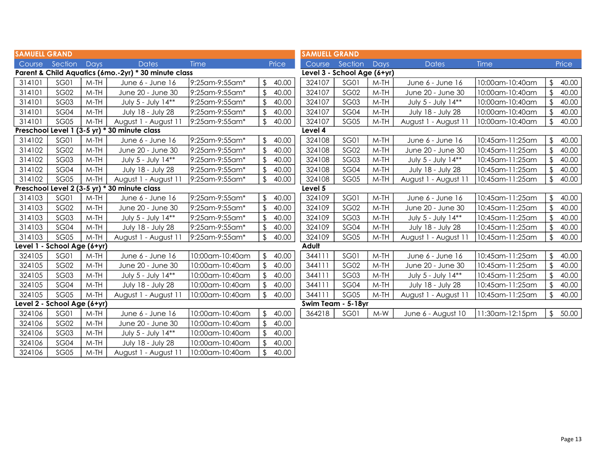| <b>SAMUELL GRAND</b>                                 |                             |        |                                              |                 |                         | <b>SAMUELL GRAND</b> |                             |             |        |                      |                 |                         |       |
|------------------------------------------------------|-----------------------------|--------|----------------------------------------------|-----------------|-------------------------|----------------------|-----------------------------|-------------|--------|----------------------|-----------------|-------------------------|-------|
| Course                                               | Section                     | Days   | <b>Dates</b>                                 | <b>Time</b>     |                         | Price                | Course                      | Section     | Days   | <b>Dates</b>         | Time            |                         | Price |
| Parent & Child Aquatics (6mo.-2yr) * 30 minute class |                             |        |                                              |                 |                         |                      | Level 3 - School Age (6+yr) |             |        |                      |                 |                         |       |
| 314101                                               | <b>SG01</b>                 | $M-TH$ | June 6 - June 16                             | 9:25am-9:55am*  | $\frac{1}{2}$           | 40.00                | 324107                      | <b>SG01</b> | $M-TH$ | June 6 - June 16     | 10:00am-10:40am | \$                      | 40.00 |
| 314101                                               | SG02                        | $M-TH$ | June 20 - June 30                            | 9:25am-9:55am*  | \$                      | 40.00                | 324107                      | SG02        | $M-TH$ | June 20 - June 30    | 10:00am-10:40am | $\sqrt{2}$              | 40.00 |
| 314101                                               | <b>SG03</b>                 | $M-TH$ | July 5 - July 14**                           | 9:25am-9:55am*  | \$                      | 40.00                | 324107                      | <b>SG03</b> | $M-TH$ | July 5 - July 14**   | 10:00am-10:40am | $\mathfrak{D}$          | 40.00 |
| 314101                                               | SG04                        | $M-TH$ | July 18 - July 28                            | 9:25am-9:55am*  | $\mathfrak{L}$          | 40.00                | 324107                      | SG04        | $M-TH$ | July 18 - July 28    | 10:00am-10:40am | $\mathfrak{D}$          | 40.00 |
| 314101                                               | <b>SG05</b>                 | $M-TH$ | August 1 - August 1                          | 9:25am-9:55am*  | \$                      | 40.00                | 324107                      | <b>SG05</b> | $M-TH$ | August 1 - August 11 | 10:00am-10:40am | $\sqrt[6]{\frac{1}{2}}$ | 40.00 |
|                                                      |                             |        | Preschool Level 1 (3-5 yr) * 30 minute class |                 |                         |                      | Level 4                     |             |        |                      |                 |                         |       |
| 314102                                               | <b>SG01</b>                 | $M-TH$ | June 6 - June 16                             | 9:25am-9:55am*  | $\mathfrak{L}$          | 40.00                | 324108                      | SG01        | $M-TH$ | June 6 - June 16     | 10:45am-11:25am | \$                      | 40.00 |
| 314102                                               | SG02                        | $M-TH$ | June 20 - June 30                            | 9:25am-9:55am*  | $\sqrt[6]{\frac{1}{2}}$ | 40.00                | 324108                      | SG02        | $M-TH$ | June 20 - June 30    | 10:45am-11:25am | $\sqrt[6]{\frac{1}{2}}$ | 40.00 |
| 314102                                               | SG03                        | $M-TH$ | July 5 - July 14**                           | 9:25am-9:55am*  | $\sqrt{2}$              | 40.00                | 324108                      | SG03        | $M-TH$ | July 5 - July 14**   | 10:45am-11:25am | $\sqrt{2}$              | 40.00 |
| 314102                                               | <b>SG04</b>                 | $M-TH$ | July 18 - July 28                            | 9:25am-9:55am*  | \$                      | 40.00                | 324108                      | <b>SG04</b> | $M-TH$ | July 18 - July 28    | 10:45am-11:25am | $\mathfrak{D}$          | 40.00 |
| 314102                                               | SG05                        | $M-TH$ | August 1 - August 11                         | 9:25am-9:55am*  | \$                      | 40.00                | 324108                      | SG05        | $M-TH$ | August 1 - August 11 | 10:45am-11:25am | $\mathfrak{P}$          | 40.00 |
| Preschool Level 2 (3-5 yr) * 30 minute class         |                             |        |                                              |                 |                         | Level 5              |                             |             |        |                      |                 |                         |       |
| 314103                                               | <b>SG01</b>                 | $M-TH$ | June 6 - June 16                             | 9:25am-9:55am*  | $\sqrt[6]{\frac{1}{2}}$ | 40.00                | 324109                      | SG01        | $M-TH$ | June 6 - June 16     | 10:45am-11:25am | \$                      | 40.00 |
| 314103                                               | SG02                        | $M-TH$ | June 20 - June 30                            | 9:25am-9:55am*  | $\mathfrak{L}$          | 40.00                | 324109                      | <b>SG02</b> | $M-TH$ | June 20 - June 30    | 10:45am-11:25am | $\sqrt{2}$              | 40.00 |
| 314103                                               | SG03                        | $M-TH$ | July 5 - July 14**                           | 9:25am-9:55am*  | $\sqrt[6]{\frac{1}{2}}$ | 40.00                | 324109                      | <b>SG03</b> | $M-TH$ | July 5 - July 14**   | 10:45am-11:25am | $\sqrt[6]{\frac{1}{2}}$ | 40.00 |
| 314103                                               | SG04                        | $M-TH$ | July 18 - July 28                            | 9:25am-9:55am*  | \$                      | 40.00                | 324109                      | SG04        | $M-TH$ | July 18 - July 28    | 10:45am-11:25am | $\mathfrak{D}$          | 40.00 |
| 314103                                               | <b>SG05</b>                 | $M-TH$ | August 1 - August 1                          | 9:25am-9:55am*  | $\frac{1}{2}$           | 40.00                | 324109                      | <b>SG05</b> | $M-TH$ | August 1 - August 11 | 10:45am-11:25am | $\sqrt[6]{\frac{1}{2}}$ | 40.00 |
|                                                      | Level 1 - School Age (6+yr) |        |                                              |                 |                         |                      | Adult                       |             |        |                      |                 |                         |       |
| 324105                                               | <b>SG01</b>                 | $M-TH$ | June 6 - June 16                             | 10:00am-10:40am |                         | \$40.00              | 344111                      | SG01        | $M-TH$ | June 6 - June 16     | 10:45am-11:25am | $\mathfrak{L}$          | 40.00 |
| 324105                                               | <b>SG02</b>                 | $M-TH$ | June 20 - June 30                            | 10:00am-10:40am | $\mathfrak{L}$          | 40.00                | 344111                      | <b>SG02</b> | $M-TH$ | June 20 - June 30    | 10:45am-11:25am | $\mathfrak{D}$          | 40.00 |
| 324105                                               | <b>SG03</b>                 | $M-TH$ | July 5 - July 14**                           | 10:00am-10:40am | $\sqrt{2}$              | 40.00                | 344111                      | SG03        | $M-TH$ | July 5 - July 14**   | 10:45am-11:25am | $\sqrt[6]{\frac{1}{2}}$ | 40.00 |
| 324105                                               | SG04                        | $M-TH$ | July 18 - July 28                            | 10:00am-10:40am | \$                      | 40.00                | 344111                      | SG04        | $M-TH$ | July 18 - July 28    | 10:45am-11:25am | $\sqrt[6]{\frac{1}{2}}$ | 40.00 |
| 324105                                               | <b>SG05</b>                 | $M-TH$ | August 1 - August 11                         | 10:00am-10:40am | \$                      | 40.00                | 344111                      | <b>SG05</b> | $M-TH$ | August 1 - August 11 | 10:45am-11:25am | $\sqrt[6]{\frac{1}{2}}$ | 40.00 |
| Level 2 - School Age (6+yr)                          |                             |        |                                              |                 |                         | Swim Team - 5-18yr   |                             |             |        |                      |                 |                         |       |
| 324106                                               | <b>SG01</b>                 | $M-TH$ | June 6 - June 16                             | 10:00am-10:40am | $\mathcal{L}$           | 40.00                | 364218                      | <b>SG01</b> | $M-W$  | June 6 - August 10   | 1:30am-12:15pm  | $\mathfrak{L}$          | 50.00 |
| 324106                                               | SG02                        | $M-TH$ | June 20 - June 30                            | 10:00am-10:40am | \$                      | 40.00                |                             |             |        |                      |                 |                         |       |
| 324106                                               | <b>SG03</b>                 | $M-TH$ | July 5 - July 14**                           | 10:00am-10:40am | $\mathfrak{L}$          | 40.00                |                             |             |        |                      |                 |                         |       |
| 324106                                               | SG04                        | $M-TH$ | July 18 - July 28                            | 10:00am-10:40am | $\sqrt{2}$              | 40.00                |                             |             |        |                      |                 |                         |       |
| 324106                                               | <b>SG05</b>                 | $M-TH$ | August 1 - August 1                          | 10:00am-10:40am | \$                      | 40.00                |                             |             |        |                      |                 |                         |       |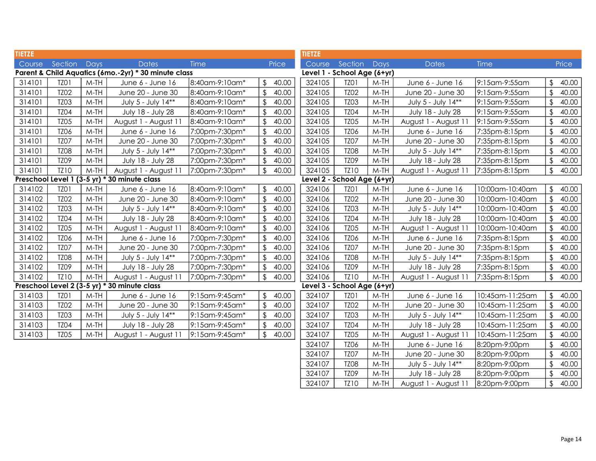| <b>TIETZE</b>                                        |             |        |                                              |                | <b>TIETZE</b>           |                             |                             |        |                      |                 |                         |       |
|------------------------------------------------------|-------------|--------|----------------------------------------------|----------------|-------------------------|-----------------------------|-----------------------------|--------|----------------------|-----------------|-------------------------|-------|
| Course                                               | Section     | Days   | <b>Dates</b>                                 | <b>Time</b>    | Price                   | Course                      | Section                     | Days   | <b>Dates</b>         | Time            |                         | Price |
| Parent & Child Aquatics (6mo.-2yr) * 30 minute class |             |        |                                              |                |                         | Level 1 - School Age (6+yr) |                             |        |                      |                 |                         |       |
| 314101                                               | TZO1        | $M-TH$ | June 6 - June 16                             | 8:40am-9:10am* | \$<br>40.00             | 324105                      | TZ01                        | $M-TH$ | June 6 - June 16     | 9:15am-9:55am   | \$                      | 40.00 |
| 314101                                               | <b>TZ02</b> | $M-TH$ | June 20 - June 30                            | 8:40am-9:10am* | 40.00                   | 324105                      | <b>TZ02</b>                 | $M-TH$ | June 20 - June 30    | 9:15am-9:55am   |                         | 40.00 |
| 314101                                               | <b>TZ03</b> | $M-TH$ | July 5 - July 14**                           | 8:40am-9:10am* | 40.00<br>\$             | 324105                      | <b>TZ03</b>                 | $M-TH$ | July 5 - July 14**   | 9:15am-9:55am   | \$                      | 40.00 |
| 314101                                               | <b>TZ04</b> | $M-TH$ | July 18 - July 28                            | 8:40am-9:10am* | \$<br>40.00             | 324105                      | <b>TZ04</b>                 | $M-TH$ | July 18 - July 28    | 9:15am-9:55am   | $\sqrt{2}$              | 40.00 |
| 314101                                               | <b>TZ05</b> | $M-TH$ | August 1 - August 11                         | 8:40am-9:10am* | 40.00                   | 324105                      | <b>TZ05</b>                 | $M-TH$ | August 1 - August 11 | 9:15am-9:55am   | \$                      | 40.00 |
| 314101                                               | <b>TZ06</b> | $M-TH$ | June 6 - June 16                             | 7:00pm-7:30pm* | \$<br>40.00             | 324105                      | TZ06                        | $M-TH$ | June 6 - June 16     | 7:35pm-8:15pm   | $\sqrt{2}$              | 40.00 |
| 314101                                               | TZO7        | $M-TH$ | June 20 - June 30                            | 7:00pm-7:30pm* | 40.00                   | 324105                      | TZ <sub>07</sub>            | $M-TH$ | June 20 - June 30    | 7:35pm-8:15pm   | \$                      | 40.00 |
| 314101                                               | <b>TZ08</b> | $M-TH$ | July 5 - July 14**                           | 7:00pm-7:30pm* | $\mathfrak{L}$<br>40.00 | 324105                      | <b>TZ08</b>                 | $M-TH$ | July 5 - July 14**   | 7:35pm-8:15pm   | $\mathfrak{L}$          | 40.00 |
| 314101                                               | <b>TZ09</b> | $M-TH$ | July 18 - July 28                            | 7:00pm-7:30pm* | 40.00                   | 324105                      | <b>TZ09</b>                 | $M-TH$ | July 18 - July 28    | 7:35pm-8:15pm   |                         | 40.00 |
| 314101                                               | <b>TZ10</b> | $M-TH$ | August 1 - August 11                         | 7:00pm-7:30pm* | \$<br>40.00             | 324105                      | TZ10                        | M-TH   | August 1 - August 11 | 7:35pm-8:15pm   | $\mathfrak{L}$          | 40.00 |
|                                                      |             |        | Preschool Level 1 (3-5 yr) * 30 minute class |                |                         |                             | Level 2 - School Age (6+yr) |        |                      |                 |                         |       |
| 314102                                               | TZO1        | $M-TH$ | June 6 - June 16                             | 8:40am-9:10am* | \$<br>40.00             | 324106                      | TZO1                        | $M-TH$ | June 6 - June 16     | 10:00am-10:40am | \$                      | 40.00 |
| 314102                                               | <b>TZ02</b> | $M-TH$ | June 20 - June 30                            | 8:40am-9:10am* | 40.00<br>\$             | 324106                      | <b>TZ02</b>                 | $M-TH$ | June 20 - June 30    | 10:00am-10:40am |                         | 40.00 |
| 314102                                               | <b>TZ03</b> | $M-TH$ | July 5 - July 14**                           | 8:40am-9:10am* | \$<br>40.00             | 324106                      | TZ03                        | $M-TH$ | July 5 - July 14**   | 10:00am-10:40am |                         | 40.00 |
| 314102                                               | <b>TZ04</b> | $M-TH$ | July 18 - July 28                            | 8:40am-9:10am* | \$<br>40.00             | 324106                      | <b>TZ04</b>                 | $M-TH$ | July 18 - July 28    | 10:00am-10:40am | $\mathcal{L}$           | 40.00 |
| 314102                                               | <b>TZ05</b> | $M-TH$ | August 1 - August 11                         | 8:40am-9:10am* | $\mathfrak{L}$<br>40.00 | 324106                      | <b>TZ05</b>                 | $M-TH$ | August 1 - August 11 | 10:00am-10:40am | \$                      | 40.00 |
| 314102                                               | <b>TZ06</b> | $M-TH$ | June 6 - June 16                             | 7:00pm-7:30pm* | 40.00                   | 324106                      | TZ06                        | $M-TH$ | June 6 - June 16     | 7:35pm-8:15pm   |                         | 40.00 |
| 314102                                               | <b>TZ07</b> | $M-TH$ | June 20 - June 30                            | 7:00pm-7:30pm* | 40.00                   | 324106                      | <b>TZ07</b>                 | $M-TH$ | June 20 - June 30    | 7:35pm-8:15pm   |                         | 40.00 |
| 314102                                               | <b>TZ08</b> | $M-TH$ | July 5 - July 14**                           | 7:00pm-7:30pm* | $\sqrt[6]{2}$<br>40.00  | 324106                      | <b>TZ08</b>                 | $M-TH$ | July 5 - July 14**   | 7:35pm-8:15pm   | $\sqrt{2}$              | 40.00 |
| 314102                                               | <b>TZ09</b> | $M-TH$ | July 18 - July 28                            | 7:00pm-7:30pm* | 40.00                   | 324106                      | TZ09                        | $M-TH$ | July 18 - July 28    | 7:35pm-8:15pm   | $\mathfrak{L}$          | 40.00 |
| 314102                                               | <b>TZ10</b> | $M-TH$ | August 1 - August 11                         | 7:00pm-7:30pm* | \$<br>40.00             | 324106                      | <b>TZ10</b>                 | $M-TH$ | August 1 - August 11 | 7:35pm-8:15pm   | $\mathfrak{L}$          | 40.00 |
|                                                      |             |        | Preschool Level 2 (3-5 yr) * 30 minute class |                |                         |                             | Level 3 - School Age (6+yr) |        |                      |                 |                         |       |
| 314103                                               | TZO1        | $M-TH$ | June 6 - June 16                             | 9:15am-9:45am* | 40.00<br>\$             | 324107                      | TZO1                        | $M-TH$ | June 6 - June 16     | 10:45am-11:25am |                         | 40.00 |
| 314103                                               | <b>TZ02</b> | $M-TH$ | June 20 - June 30                            | 9:15am-9:45am* | \$<br>40.00             | 324107                      | TZ02                        | $M-TH$ | June 20 - June 30    | 10:45am-11:25am | $\mathfrak{L}$          | 40.00 |
| 314103                                               | <b>TZ03</b> | $M-TH$ | July 5 - July 14**                           | 9:15am-9:45am* | 40.00                   | 324107                      | TZ03                        | $M-TH$ | July 5 - July 14**   | 10:45am-11:25am | \$                      | 40.00 |
| 314103                                               | <b>TZ04</b> | $M-TH$ | July 18 - July 28                            | 9:15am-9:45am* | \$<br>40.00             | 324107                      | <b>TZ04</b>                 | $M-TH$ | July 18 - July 28    | 10:45am-11:25am |                         | 40.00 |
| 314103                                               | <b>TZ05</b> | $M-TH$ | August 1 - August 11                         | 9:15am-9:45am* | 40.00<br>\$             | 324107                      | <b>TZ05</b>                 | $M-TH$ | August 1 - August 11 | 10:45am-11:25am |                         | 40.00 |
|                                                      |             |        |                                              |                |                         | 324107                      | <b>TZ06</b>                 | $M-TH$ | June 6 - June 16     | 8:20pm-9:00pm   | $\mathfrak{L}$          | 40.00 |
|                                                      |             |        |                                              |                |                         | 324107                      | <b>TZ07</b>                 | $M-TH$ | June 20 - June 30    | 8:20pm-9:00pm   | \$                      | 40.00 |
|                                                      |             |        |                                              |                |                         | 324107                      | <b>TZ08</b>                 | $M-TH$ | July 5 - July 14**   | 8:20pm-9:00pm   | $\mathfrak{L}$          | 40.00 |
|                                                      |             |        |                                              |                |                         | 324107                      | <b>TZ09</b>                 | $M-TH$ | July 18 - July 28    | 8:20pm-9:00pm   | $\sqrt[4]{\frac{1}{2}}$ | 40.00 |

324107 TZ10 M-TH August 1 - August 11 8:20pm-9:00pm \$ 40.00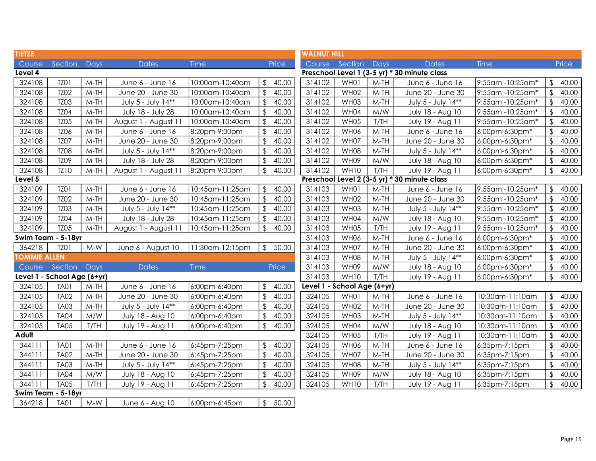| <b>TIETZE</b>       |                             |             |                      |                 |                         | <b>WALNUT HILL</b>                           |                             |                |            |                                              |                  |                         |       |
|---------------------|-----------------------------|-------------|----------------------|-----------------|-------------------------|----------------------------------------------|-----------------------------|----------------|------------|----------------------------------------------|------------------|-------------------------|-------|
| Course              | Section                     | Days        | <b>Dates</b>         | Time            |                         | Price                                        | Course                      | Section        | Days       | <b>Dates</b>                                 | Time             |                         | Price |
| Level 4             |                             |             |                      |                 |                         | Preschool Level 1 (3-5 yr) * 30 minute class |                             |                |            |                                              |                  |                         |       |
| 324108              | TZO1                        | $M-TH$      | June 6 - June 16     | 10:00am-10:40am | \$                      | 40.00                                        | 314102                      | WH01           | $M-TH$     | June 6 - June 16                             | 9:55am -10:25am* | \$                      | 40.00 |
| 324108              | <b>TZ02</b>                 | $M-TH$      | June 20 - June 30    | 10:00am-10:40am | $\frac{1}{2}$           | 40.00                                        | 314102                      | WH02           | $M-TH$     | June 20 - June 30                            | 9:55am -10:25am* | $\sqrt[6]{\frac{1}{2}}$ | 40.00 |
| 324108              | <b>TZ03</b>                 | $M-TH$      | July 5 - July 14**   | 10:00am-10:40am | \$                      | 40.00                                        | 314102                      | WH03           | $M-TH$     | July 5 - July 14**                           | 9:55am -10:25am* | $\sqrt[4]{\frac{1}{2}}$ | 40.00 |
| 324108              | <b>TZ04</b>                 | $M-TH$      | July 18 - July 28    | 10:00am-10:40am | \$                      | 40.00                                        | 314102                      | WH04           | M/W        | July 18 - Aug 10                             | 9:55am -10:25am* | $\mathfrak{D}$          | 40.00 |
| 324108              | <b>TZ05</b>                 | $M-TH$      | August 1 - August 11 | 10:00am-10:40am | \$                      | 40.00                                        | 314102                      | WH05           | T/TH       | July 19 - Aug 11                             | 9:55am -10:25am* | $\sqrt{2}$              | 40.00 |
| 324108              | TZ06                        | $M-TH$      | June 6 - June 16     | 8:20pm-9:00pm   | $\sqrt[6]{2}$           | 40.00                                        | 314102                      | WH06           | $M-TH$     | June 6 - June 16                             | 6:00pm-6:30pm*   | $\sqrt[6]{\frac{1}{2}}$ | 40.00 |
| 324108              | <b>TZ07</b>                 | $M-TH$      | June 20 - June 30    | 8:20pm-9:00pm   | $\sqrt[6]{\frac{1}{2}}$ | 40.00                                        | 314102                      | WH07           | $M-TH$     | June 20 - June 30                            | 6:00pm-6:30pm*   | $\sqrt[4]{\frac{1}{2}}$ | 40.00 |
| 324108              | <b>TZ08</b>                 | $M-TH$      | July 5 - July 14**   | 8:20pm-9:00pm   | $\mathfrak{L}$          | 40.00                                        | 314102                      | <b>WH08</b>    | $M-TH$     | July 5 - July 14**                           | 6:00pm-6:30pm*   | $\sqrt{2}$              | 40.00 |
| 324108              | <b>TZ09</b>                 | $M-TH$      | July 18 - July 28    | 8:20pm-9:00pm   | $\sqrt[6]{\frac{1}{2}}$ | 40.00                                        | 314102                      | WH09           | M/W        | July 18 - Aug 10                             | 6:00pm-6:30pm*   | $\sqrt[6]{\frac{1}{2}}$ | 40.00 |
| 324108              | TZ10                        | $M-TH$      | August 1 - August 11 | 8:20pm-9:00pm   | $\frac{1}{2}$           | 40.00                                        | 314102                      | WH10           | T/TH       | July 19 - Aug 11                             | 6:00pm-6:30pm*   | $\sqrt[6]{\frac{1}{2}}$ | 40.00 |
| Level 5             |                             |             |                      |                 |                         |                                              |                             |                |            | Preschool Level 2 (3-5 yr) * 30 minute class |                  |                         |       |
| 324109              | TZO1                        | $M-TH$      | June 6 - June 16     | 10:45am-11:25am | $\frac{1}{2}$           | 40.00                                        | 314103                      | WH01           | M-TH       | June 6 - June 16                             | 9:55am -10:25am* | \$                      | 40.00 |
| 324109              | <b>TZ02</b>                 | $M-TH$      | June 20 - June 30    | 10:45am-11:25am | \$                      | 40.00                                        | 314103                      | WH02           | $M-TH$     | June 20 - June 30                            | 9:55am -10:25am* | $\sqrt[6]{\frac{1}{2}}$ | 40.00 |
| 324109              | <b>TZ03</b>                 | $M-TH$      | July 5 - July 14**   | 10:45am-11:25am | \$                      | 40.00                                        | 314103                      | WH03           | $M-TH$     | July 5 - July 14**                           | 9:55am -10:25am* | $\sqrt[6]{\frac{1}{2}}$ | 40.00 |
| 324109              | <b>TZ04</b>                 | $M-TH$      | July 18 - July 28    | 10:45am-11:25am | \$                      | 40.00                                        | 314103                      | WH04           | M/W        | July 18 - Aug 10                             | 9:55am -10:25am* | $\sqrt[4]{\frac{1}{2}}$ | 40.00 |
| 324109              | <b>TZ05</b>                 | $M-TH$      | August 1 - August 11 | 10:45am-11:25am | $\mathfrak{L}$          | 40.00                                        | 314103                      | WH05           | T/TH       | July 19 - Aug 11                             | 9:55am -10:25am* | $\mathfrak{D}$          | 40.00 |
| Swim Team - 5-18yr  |                             |             |                      | 314103          | WH06                    | $M-TH$                                       | June 6 - June 16            | 6:00pm-6:30pm* | $\sqrt{2}$ | 40.00                                        |                  |                         |       |
| 364218              | TZO1                        | $M-W$       | June 6 - August 10   | 11:30am-12:15pm |                         | \$50.00                                      | 314103                      | WH07           | $M-TH$     | June 20 - June 30                            | 6:00pm-6:30pm*   | $\sqrt{2}$              | 40.00 |
| <b>TOMMIE ALLEN</b> |                             |             |                      |                 |                         |                                              | 314103                      | <b>WH08</b>    | $M-TH$     | July 5 - July 14**                           | 6:00pm-6:30pm*   | $\sqrt[6]{\frac{1}{2}}$ | 40.00 |
| Course              | Section                     | <b>Days</b> | <b>Dates</b>         | Time            |                         | Price                                        | 314103                      | WH09           | M/W        | July 18 - Aug 10                             | 6:00pm-6:30pm*   | $\mathfrak{L}$          | 40.00 |
|                     | Level 1 - School Age (6+yr) |             |                      |                 |                         |                                              | 314103                      | WH10           | T/TH       | July 19 - Aug 11                             | 6:00pm-6:30pm*   | $\sqrt{2}$              | 40.00 |
| 324105              | <b>TA01</b>                 | $M-TH$      | June 6 - June 16     | 6:00pm-6:40pm   | $\sqrt[6]{\frac{1}{2}}$ | 40.00                                        | Level 1 - School Age (6+yr) |                |            |                                              |                  |                         |       |
| 324105              | <b>TA02</b>                 | $M-TH$      | June 20 - June 30    | 6:00pm-6:40pm   | $\sqrt{2}$              | 40.00                                        | 324105                      | WH01           | $M-TH$     | June 6 - June 16                             | 10:30am-11:10am  | $\sqrt{2}$              | 40.00 |
| 324105              | <b>TA03</b>                 | $M-TH$      | July 5 - July 14**   | 6:00pm-6:40pm   | $\sqrt[6]{\frac{1}{2}}$ | 40.00                                        | 324105                      | WH02           | $M-TH$     | June 20 - June 30                            | 10:30am-11:10am  | $\sqrt[6]{\frac{1}{2}}$ | 40.00 |
| 324105              | <b>TA04</b>                 | M/W         | July 18 - Aug 10     | 6:00pm-6:40pm   | $\frac{1}{2}$           | 40.00                                        | 324105                      | WH03           | $M-TH$     | July 5 - July 14**                           | 10:30am-11:10am  | $\sqrt[6]{}$            | 40.00 |
| 324105              | <b>TA05</b>                 | T/TH        | July 19 - Aug 11     | 6:00pm-6:40pm   | $\frac{1}{2}$           | 40.00                                        | 324105                      | WH04           | M/W        | July 18 - Aug 10                             | 10:30am-11:10am  | $\sqrt{2}$              | 40.00 |
| Adult               |                             |             |                      |                 |                         |                                              | 324105                      | WH05           | T/TH       | July 19 - Aug 11                             | 10:30am-11:10am  | $\sqrt{2}$              | 40.00 |
| 344111              | <b>TA01</b>                 | $M-TH$      | June 6 - June 16     | 6:45pm-7:25pm   | $\mathfrak{L}$          | 40.00                                        | 324105                      | WH06           | $M-TH$     | June 6 - June 16                             | 6:35pm-7:15pm    | $\sqrt{2}$              | 40.00 |
| 344111              | <b>TA02</b>                 | $M-TH$      | June 20 - June 30    | 6:45pm-7:25pm   | \$                      | 40.00                                        | 324105                      | WH07           | $M-TH$     | June 20 - June 30                            | 6:35pm-7:15pm    | $\sqrt[6]{\frac{1}{2}}$ | 40.00 |
| 344111              | <b>TA03</b>                 | $M-TH$      | July 5 - July 14**   | 6:45pm-7:25pm   | \$                      | 40.00                                        | 324105                      | WH08           | $M-TH$     | July 5 - July 14**                           | 6:35pm-7:15pm    | $\sqrt[6]{}$            | 40.00 |
| 344111              | <b>TA04</b>                 | M/W         | July 18 - Aug 10     | 6:45pm-7:25pm   | \$                      | 40.00                                        | 324105                      | WH09           | M/W        | July 18 - Aug 10                             | 6:35pm-7:15pm    | $\sqrt[4]{\frac{1}{2}}$ | 40.00 |
| 344111              | <b>TA05</b>                 | T/TH        | July 19 - Aug 11     | 6:45pm-7:25pm   | \$                      | 40.00                                        | 324105                      | WH10           | T/TH       | July 19 - Aug 11                             | 6:35pm-7:15pm    | $\mathfrak{L}$          | 40.00 |
|                     | Swim Team - 5-18yr          |             |                      |                 |                         |                                              |                             |                |            |                                              |                  |                         |       |
| 364218              | <b>TA01</b>                 | $M-W$       | June 6 - Aug 10      | 6:00pm-6:45pm   |                         | \$50.00                                      |                             |                |            |                                              |                  |                         |       |